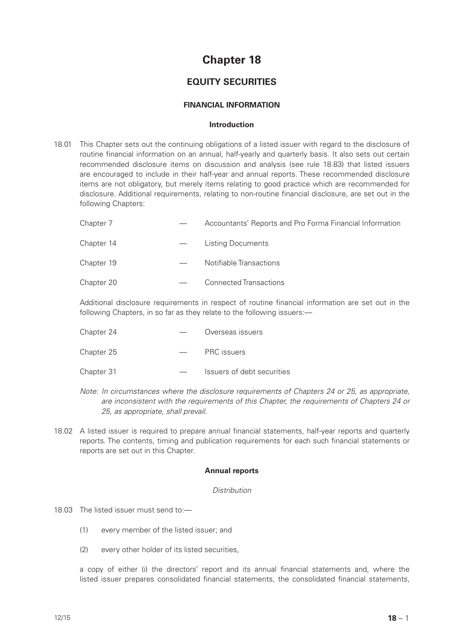# **Chapter 18**

# **EQUITY SECURITIES**

# **FINANCIAL INFORMATION**

#### **Introduction**

18.01 This Chapter sets out the continuing obligations of a listed issuer with regard to the disclosure of routine financial information on an annual, half-yearly and quarterly basis. It also sets out certain recommended disclosure items on discussion and analysis (see rule 18.83) that listed issuers are encouraged to include in their half-year and annual reports. These recommended disclosure items are not obligatory, but merely items relating to good practice which are recommended for disclosure. Additional requirements, relating to non-routine financial disclosure, are set out in the following Chapters:

| Chapter 7 |  | Accountants' Reports and Pro Forma Financial Information |  |  |
|-----------|--|----------------------------------------------------------|--|--|
|-----------|--|----------------------------------------------------------|--|--|

| <b>Listing Documents</b> |
|--------------------------|
|                          |

Chapter 20 — Connected Transactions

Additional disclosure requirements in respect of routine financial information are set out in the following Chapters, in so far as they relate to the following issuers:—

- Chapter 24 Overseas issuers
- Chapter 25  **PRC issuers**
- Chapter 31 Issuers of debt securities
- *Note: In circumstances where the disclosure requirements of Chapters 24 or 25, as appropriate, are inconsistent with the requirements of this Chapter, the requirements of Chapters 24 or 25, as appropriate, shall prevail.*
- 18.02 A listed issuer is required to prepare annual financial statements, half-year reports and quarterly reports. The contents, timing and publication requirements for each such financial statements or reports are set out in this Chapter.

#### **Annual reports**

#### *Distribution*

- 18.03 The listed issuer must send to:—
	- (1) every member of the listed issuer; and
	- (2) every other holder of its listed securities,

a copy of either (i) the directors' report and its annual financial statements and, where the listed issuer prepares consolidated financial statements, the consolidated financial statements,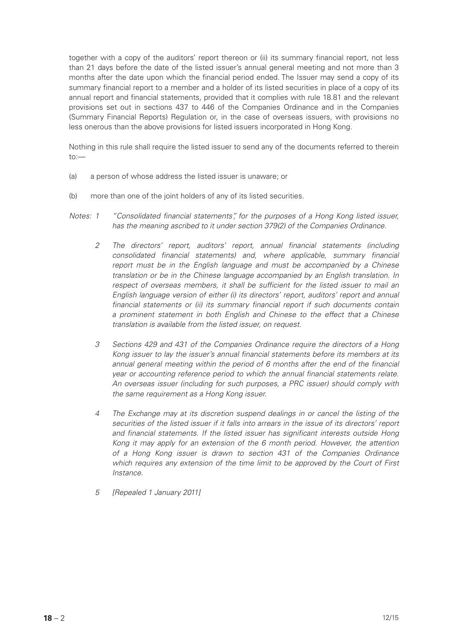together with a copy of the auditors' report thereon or (ii) its summary financial report, not less than 21 days before the date of the listed issuer's annual general meeting and not more than 3 months after the date upon which the financial period ended. The Issuer may send a copy of its summary financial report to a member and a holder of its listed securities in place of a copy of its annual report and financial statements, provided that it complies with rule 18.81 and the relevant provisions set out in sections 437 to 446 of the Companies Ordinance and in the Companies (Summary Financial Reports) Regulation or, in the case of overseas issuers, with provisions no less onerous than the above provisions for listed issuers incorporated in Hong Kong.

Nothing in this rule shall require the listed issuer to send any of the documents referred to therein to:—

- (a) a person of whose address the listed issuer is unaware; or
- (b) more than one of the joint holders of any of its listed securities.
- *Notes: 1 "Consolidated financial statements", for the purposes of a Hong Kong listed issuer, has the meaning ascribed to it under section 379(2) of the Companies Ordinance.*
	- *2 The directors' report, auditors' report, annual financial statements (including consolidated financial statements) and, where applicable, summary financial report must be in the English language and must be accompanied by a Chinese translation or be in the Chinese language accompanied by an English translation. In respect of overseas members, it shall be sufficient for the listed issuer to mail an English language version of either (i) its directors' report, auditors' report and annual financial statements or (ii) its summary financial report if such documents contain a prominent statement in both English and Chinese to the effect that a Chinese translation is available from the listed issuer, on request.*
	- *3 Sections 429 and 431 of the Companies Ordinance require the directors of a Hong Kong issuer to lay the issuer's annual financial statements before its members at its annual general meeting within the period of 6 months after the end of the financial year or accounting reference period to which the annual financial statements relate. An overseas issuer (including for such purposes, a PRC issuer) should comply with the same requirement as a Hong Kong issuer.*
	- *4 The Exchange may at its discretion suspend dealings in or cancel the listing of the securities of the listed issuer if it falls into arrears in the issue of its directors' report and financial statements. If the listed issuer has significant interests outside Hong Kong it may apply for an extension of the 6 month period. However, the attention of a Hong Kong issuer is drawn to section 431 of the Companies Ordinance which requires any extension of the time limit to be approved by the Court of First Instance.*
	- *5 [Repealed 1 January 2011]*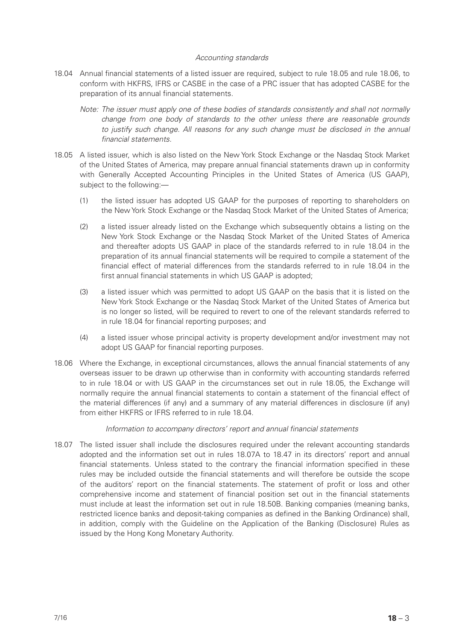# *Accounting standards*

- 18.04 Annual financial statements of a listed issuer are required, subject to rule 18.05 and rule 18.06, to conform with HKFRS, IFRS or CASBE in the case of a PRC issuer that has adopted CASBE for the preparation of its annual financial statements.
	- *Note: The issuer must apply one of these bodies of standards consistently and shall not normally change from one body of standards to the other unless there are reasonable grounds*  to justify such change. All reasons for any such change must be disclosed in the annual *financial statements.*
- 18.05 A listed issuer, which is also listed on the New York Stock Exchange or the Nasdaq Stock Market of the United States of America, may prepare annual financial statements drawn up in conformity with Generally Accepted Accounting Principles in the United States of America (US GAAP), subject to the following:—
	- (1) the listed issuer has adopted US GAAP for the purposes of reporting to shareholders on the New York Stock Exchange or the Nasdaq Stock Market of the United States of America;
	- (2) a listed issuer already listed on the Exchange which subsequently obtains a listing on the New York Stock Exchange or the Nasdaq Stock Market of the United States of America and thereafter adopts US GAAP in place of the standards referred to in rule 18.04 in the preparation of its annual financial statements will be required to compile a statement of the financial effect of material differences from the standards referred to in rule 18.04 in the first annual financial statements in which US GAAP is adopted;
	- (3) a listed issuer which was permitted to adopt US GAAP on the basis that it is listed on the New York Stock Exchange or the Nasdaq Stock Market of the United States of America but is no longer so listed, will be required to revert to one of the relevant standards referred to in rule 18.04 for financial reporting purposes; and
	- (4) a listed issuer whose principal activity is property development and/or investment may not adopt US GAAP for financial reporting purposes.
- 18.06 Where the Exchange, in exceptional circumstances, allows the annual financial statements of any overseas issuer to be drawn up otherwise than in conformity with accounting standards referred to in rule 18.04 or with US GAAP in the circumstances set out in rule 18.05, the Exchange will normally require the annual financial statements to contain a statement of the financial effect of the material differences (if any) and a summary of any material differences in disclosure (if any) from either HKFRS or IFRS referred to in rule 18.04.

# *Information to accompany directors' report and annual financial statements*

18.07 The listed issuer shall include the disclosures required under the relevant accounting standards adopted and the information set out in rules 18.07A to 18.47 in its directors' report and annual financial statements. Unless stated to the contrary the financial information specified in these rules may be included outside the financial statements and will therefore be outside the scope of the auditors' report on the financial statements. The statement of profit or loss and other comprehensive income and statement of financial position set out in the financial statements must include at least the information set out in rule 18.50B. Banking companies (meaning banks, restricted licence banks and deposit-taking companies as defined in the Banking Ordinance) shall, in addition, comply with the Guideline on the Application of the Banking (Disclosure) Rules as issued by the Hong Kong Monetary Authority.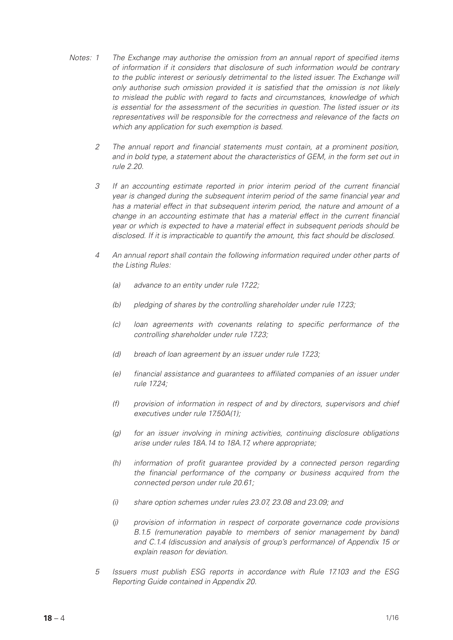- *Notes: 1 The Exchange may authorise the omission from an annual report of specified items of information if it considers that disclosure of such information would be contrary*  to the public interest or seriously detrimental to the listed issuer. The Exchange will *only authorise such omission provided it is satisfied that the omission is not likely to mislead the public with regard to facts and circumstances, knowledge of which is essential for the assessment of the securities in question. The listed issuer or its representatives will be responsible for the correctness and relevance of the facts on which any application for such exemption is based.*
	- *2 The annual report and financial statements must contain, at a prominent position, and in bold type, a statement about the characteristics of GEM, in the form set out in rule 2.20.*
	- *3 If an accounting estimate reported in prior interim period of the current financial year is changed during the subsequent interim period of the same financial year and has a material effect in that subsequent interim period, the nature and amount of a change in an accounting estimate that has a material effect in the current financial year or which is expected to have a material effect in subsequent periods should be disclosed. If it is impracticable to quantify the amount, this fact should be disclosed.*
	- *4 An annual report shall contain the following information required under other parts of the Listing Rules:*
		- *(a) advance to an entity under rule 17.22;*
		- *(b) pledging of shares by the controlling shareholder under rule 17.23;*
		- *(c) loan agreements with covenants relating to specific performance of the controlling shareholder under rule 17.23;*
		- *(d) breach of loan agreement by an issuer under rule 17.23;*
		- *(e) financial assistance and guarantees to affiliated companies of an issuer under rule 17.24;*
		- *(f) provision of information in respect of and by directors, supervisors and chief executives under rule 17.50A(1);*
		- *(g) for an issuer involving in mining activities, continuing disclosure obligations arise under rules 18A.14 to 18A.17, where appropriate;*
		- *(h) information of profit guarantee provided by a connected person regarding the financial performance of the company or business acquired from the connected person under rule 20.61;*
		- *(i) share option schemes under rules 23.07, 23.08 and 23.09; and*
		- *(j) provision of information in respect of corporate governance code provisions B.1.5 (remuneration payable to members of senior management by band) and C.1.4 (discussion and analysis of group's performance) of Appendix 15 or explain reason for deviation.*
	- *5 Issuers must publish ESG reports in accordance with Rule 17.103 and the ESG Reporting Guide contained in Appendix 20.*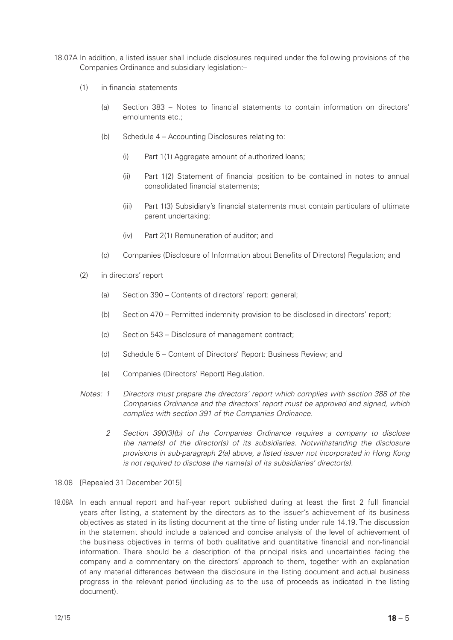- 18.07A In addition, a listed issuer shall include disclosures required under the following provisions of the Companies Ordinance and subsidiary legislation:–
	- (1) in financial statements
		- (a) Section 383 Notes to financial statements to contain information on directors' emoluments etc.;
		- (b) Schedule 4 Accounting Disclosures relating to:
			- (i) Part 1(1) Aggregate amount of authorized loans;
			- (ii) Part 1(2) Statement of financial position to be contained in notes to annual consolidated financial statements;
			- (iii) Part 1(3) Subsidiary's financial statements must contain particulars of ultimate parent undertaking;
			- (iv) Part 2(1) Remuneration of auditor; and
		- (c) Companies (Disclosure of Information about Benefits of Directors) Regulation; and
	- (2) in directors' report
		- (a) Section 390 Contents of directors' report: general;
		- (b) Section 470 Permitted indemnity provision to be disclosed in directors' report;
		- (c) Section 543 Disclosure of management contract;
		- (d) Schedule 5 Content of Directors' Report: Business Review; and
		- (e) Companies (Directors' Report) Regulation.
	- *Notes: 1 Directors must prepare the directors' report which complies with section 388 of the Companies Ordinance and the directors' report must be approved and signed, which complies with section 391 of the Companies Ordinance.*
		- *2 Section 390(3)(b) of the Companies Ordinance requires a company to disclose the name(s) of the director(s) of its subsidiaries. Notwithstanding the disclosure provisions in sub-paragraph 2(a) above, a listed issuer not incorporated in Hong Kong is not required to disclose the name(s) of its subsidiaries' director(s).*
- 18.08 [Repealed 31 December 2015]
- 18.08A In each annual report and half-year report published during at least the first 2 full financial years after listing, a statement by the directors as to the issuer's achievement of its business objectives as stated in its listing document at the time of listing under rule 14.19. The discussion in the statement should include a balanced and concise analysis of the level of achievement of the business objectives in terms of both qualitative and quantitative financial and non-financial information. There should be a description of the principal risks and uncertainties facing the company and a commentary on the directors' approach to them, together with an explanation of any material differences between the disclosure in the listing document and actual business progress in the relevant period (including as to the use of proceeds as indicated in the listing document).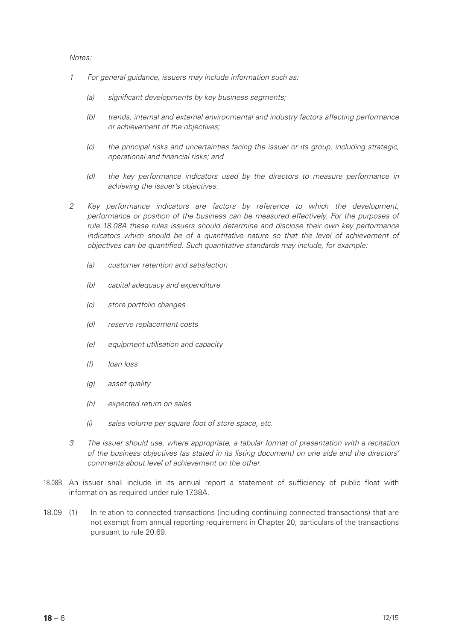- *1 For general guidance, issuers may include information such as:*
	- *(a) significant developments by key business segments;*
	- *(b) trends, internal and external environmental and industry factors affecting performance or achievement of the objectives;*
	- *(c) the principal risks and uncertainties facing the issuer or its group, including strategic, operational and financial risks; and*
	- *(d) the key performance indicators used by the directors to measure performance in achieving the issuer's objectives.*
- *2 Key performance indicators are factors by reference to which the development, performance or position of the business can be measured effectively. For the purposes of rule 18.08A these rules issuers should determine and disclose their own key performance*  indicators which should be of a quantitative nature so that the level of achievement of *objectives can be quantified. Such quantitative standards may include, for example:*
	- *(a) customer retention and satisfaction*
	- *(b) capital adequacy and expenditure*
	- *(c) store portfolio changes*
	- *(d) reserve replacement costs*
	- *(e) equipment utilisation and capacity*
	- *(f) loan loss*
	- *(g) asset quality*
	- *(h) expected return on sales*
	- *(i) sales volume per square foot of store space, etc.*
- *3 The issuer should use, where appropriate, a tabular format of presentation with a recitation of the business objectives (as stated in its listing document) on one side and the directors' comments about level of achievement on the other.*
- 18.08B An issuer shall include in its annual report a statement of sufficiency of public float with information as required under rule 17.38A.
- 18.09 (1) In relation to connected transactions (including continuing connected transactions) that are not exempt from annual reporting requirement in Chapter 20, particulars of the transactions pursuant to rule 20.69.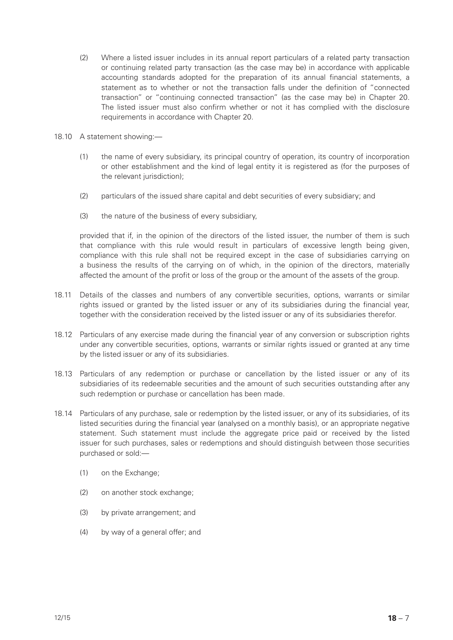- (2) Where a listed issuer includes in its annual report particulars of a related party transaction or continuing related party transaction (as the case may be) in accordance with applicable accounting standards adopted for the preparation of its annual financial statements, a statement as to whether or not the transaction falls under the definition of "connected transaction" or "continuing connected transaction" (as the case may be) in Chapter 20. The listed issuer must also confirm whether or not it has complied with the disclosure requirements in accordance with Chapter 20.
- 18.10 A statement showing:—
	- (1) the name of every subsidiary, its principal country of operation, its country of incorporation or other establishment and the kind of legal entity it is registered as (for the purposes of the relevant jurisdiction);
	- (2) particulars of the issued share capital and debt securities of every subsidiary; and
	- (3) the nature of the business of every subsidiary,

provided that if, in the opinion of the directors of the listed issuer, the number of them is such that compliance with this rule would result in particulars of excessive length being given, compliance with this rule shall not be required except in the case of subsidiaries carrying on a business the results of the carrying on of which, in the opinion of the directors, materially affected the amount of the profit or loss of the group or the amount of the assets of the group.

- 18.11 Details of the classes and numbers of any convertible securities, options, warrants or similar rights issued or granted by the listed issuer or any of its subsidiaries during the financial year, together with the consideration received by the listed issuer or any of its subsidiaries therefor.
- 18.12 Particulars of any exercise made during the financial year of any conversion or subscription rights under any convertible securities, options, warrants or similar rights issued or granted at any time by the listed issuer or any of its subsidiaries.
- 18.13 Particulars of any redemption or purchase or cancellation by the listed issuer or any of its subsidiaries of its redeemable securities and the amount of such securities outstanding after any such redemption or purchase or cancellation has been made.
- 18.14 Particulars of any purchase, sale or redemption by the listed issuer, or any of its subsidiaries, of its listed securities during the financial year (analysed on a monthly basis), or an appropriate negative statement. Such statement must include the aggregate price paid or received by the listed issuer for such purchases, sales or redemptions and should distinguish between those securities purchased or sold:—
	- (1) on the Exchange;
	- (2) on another stock exchange;
	- (3) by private arrangement; and
	- (4) by way of a general offer; and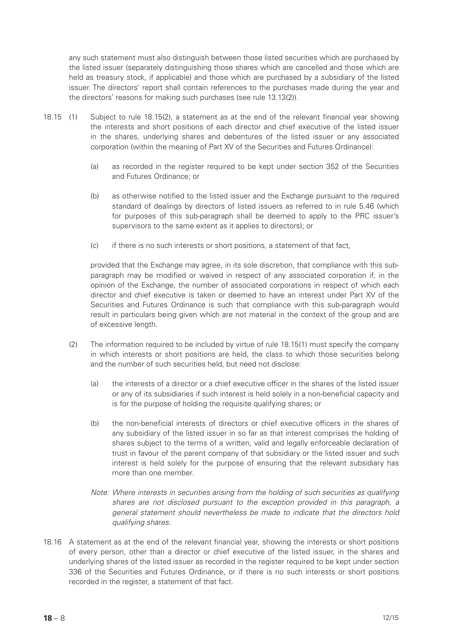any such statement must also distinguish between those listed securities which are purchased by the listed issuer (separately distinguishing those shares which are cancelled and those which are held as treasury stock, if applicable) and those which are purchased by a subsidiary of the listed issuer. The directors' report shall contain references to the purchases made during the year and the directors' reasons for making such purchases (see rule 13.13(2)).

- 18.15 (1) Subject to rule 18.15(2), a statement as at the end of the relevant financial year showing the interests and short positions of each director and chief executive of the listed issuer in the shares, underlying shares and debentures of the listed issuer or any associated corporation (within the meaning of Part XV of the Securities and Futures Ordinance):
	- (a) as recorded in the register required to be kept under section 352 of the Securities and Futures Ordinance; or
	- (b) as otherwise notified to the listed issuer and the Exchange pursuant to the required standard of dealings by directors of listed issuers as referred to in rule 5.46 (which for purposes of this sub-paragraph shall be deemed to apply to the PRC issuer's supervisors to the same extent as it applies to directors); or
	- (c) if there is no such interests or short positions, a statement of that fact,

provided that the Exchange may agree, in its sole discretion, that compliance with this subparagraph may be modified or waived in respect of any associated corporation if, in the opinion of the Exchange, the number of associated corporations in respect of which each director and chief executive is taken or deemed to have an interest under Part XV of the Securities and Futures Ordinance is such that compliance with this sub-paragraph would result in particulars being given which are not material in the context of the group and are of excessive length.

- (2) The information required to be included by virtue of rule 18.15(1) must specify the company in which interests or short positions are held, the class to which those securities belong and the number of such securities held, but need not disclose:
	- (a) the interests of a director or a chief executive officer in the shares of the listed issuer or any of its subsidiaries if such interest is held solely in a non-beneficial capacity and is for the purpose of holding the requisite qualifying shares; or
	- (b) the non-beneficial interests of directors or chief executive officers in the shares of any subsidiary of the listed issuer in so far as that interest comprises the holding of shares subject to the terms of a written, valid and legally enforceable declaration of trust in favour of the parent company of that subsidiary or the listed issuer and such interest is held solely for the purpose of ensuring that the relevant subsidiary has more than one member.
	- *Note: Where interests in securities arising from the holding of such securities as qualifying shares are not disclosed pursuant to the exception provided in this paragraph, a general statement should nevertheless be made to indicate that the directors hold qualifying shares.*
- 18.16 A statement as at the end of the relevant financial year, showing the interests or short positions of every person, other than a director or chief executive of the listed issuer, in the shares and underlying shares of the listed issuer as recorded in the register required to be kept under section 336 of the Securities and Futures Ordinance, or if there is no such interests or short positions recorded in the register, a statement of that fact.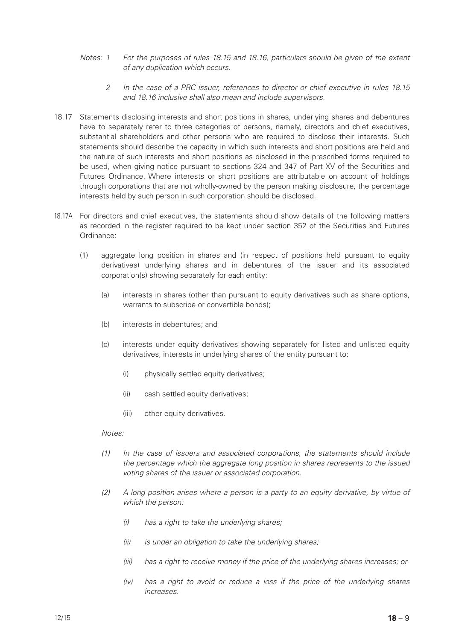- *Notes: 1 For the purposes of rules 18.15 and 18.16, particulars should be given of the extent of any duplication which occurs.*
	- *2 In the case of a PRC issuer, references to director or chief executive in rules 18.15 and 18.16 inclusive shall also mean and include supervisors.*
- 18.17 Statements disclosing interests and short positions in shares, underlying shares and debentures have to separately refer to three categories of persons, namely, directors and chief executives, substantial shareholders and other persons who are required to disclose their interests. Such statements should describe the capacity in which such interests and short positions are held and the nature of such interests and short positions as disclosed in the prescribed forms required to be used, when giving notice pursuant to sections 324 and 347 of Part XV of the Securities and Futures Ordinance. Where interests or short positions are attributable on account of holdings through corporations that are not wholly-owned by the person making disclosure, the percentage interests held by such person in such corporation should be disclosed.
- 18.17A For directors and chief executives, the statements should show details of the following matters as recorded in the register required to be kept under section 352 of the Securities and Futures Ordinance:
	- (1) aggregate long position in shares and (in respect of positions held pursuant to equity derivatives) underlying shares and in debentures of the issuer and its associated corporation(s) showing separately for each entity:
		- (a) interests in shares (other than pursuant to equity derivatives such as share options, warrants to subscribe or convertible bonds);
		- (b) interests in debentures; and
		- (c) interests under equity derivatives showing separately for listed and unlisted equity derivatives, interests in underlying shares of the entity pursuant to:
			- (i) physically settled equity derivatives;
			- (ii) cash settled equity derivatives;
			- (iii) other equity derivatives.

- *(1) In the case of issuers and associated corporations, the statements should include the percentage which the aggregate long position in shares represents to the issued voting shares of the issuer or associated corporation.*
- *(2) A long position arises where a person is a party to an equity derivative, by virtue of which the person:*
	- *(i) has a right to take the underlying shares;*
	- *(ii) is under an obligation to take the underlying shares;*
	- *(iii) has a right to receive money if the price of the underlying shares increases; or*
	- *(iv) has a right to avoid or reduce a loss if the price of the underlying shares increases.*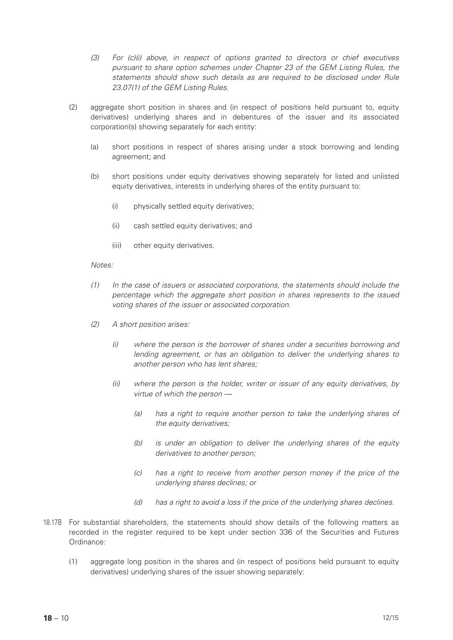- *(3) For (c)(i) above, in respect of options granted to directors or chief executives pursuant to share option schemes under Chapter 23 of the GEM Listing Rules, the statements should show such details as are required to be disclosed under Rule 23.07(1) of the GEM Listing Rules.*
- (2) aggregate short position in shares and (in respect of positions held pursuant to, equity derivatives) underlying shares and in debentures of the issuer and its associated corporation(s) showing separately for each entity:
	- (a) short positions in respect of shares arising under a stock borrowing and lending agreement; and
	- (b) short positions under equity derivatives showing separately for listed and unlisted equity derivatives, interests in underlying shares of the entity pursuant to:
		- (i) physically settled equity derivatives;
		- (ii) cash settled equity derivatives; and
		- (iii) other equity derivatives.

- *(1) In the case of issuers or associated corporations, the statements should include the percentage which the aggregate short position in shares represents to the issued voting shares of the issuer or associated corporation.*
- *(2) A short position arises:*
	- *(i) where the person is the borrower of shares under a securities borrowing and lending agreement, or has an obligation to deliver the underlying shares to another person who has lent shares;*
	- *(ii) where the person is the holder, writer or issuer of any equity derivatives, by virtue of which the person —*
		- *(a) has a right to require another person to take the underlying shares of the equity derivatives;*
		- *(b) is under an obligation to deliver the underlying shares of the equity derivatives to another person;*
		- *(c) has a right to receive from another person money if the price of the underlying shares declines; or*
		- *(d) has a right to avoid a loss if the price of the underlying shares declines.*
- 18.17B For substantial shareholders, the statements should show details of the following matters as recorded in the register required to be kept under section 336 of the Securities and Futures Ordinance:
	- (1) aggregate long position in the shares and (in respect of positions held pursuant to equity derivatives) underlying shares of the issuer showing separately: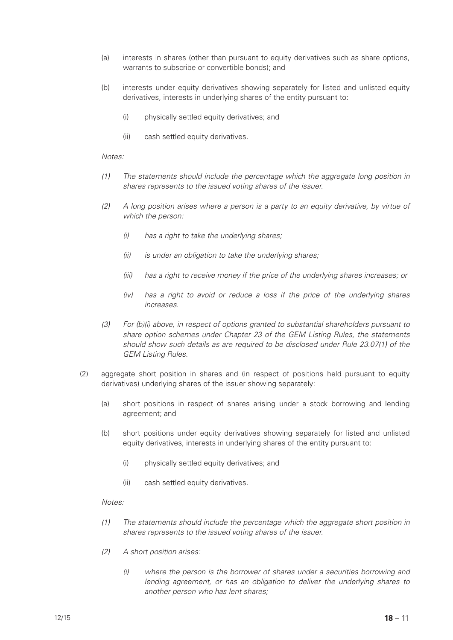- (a) interests in shares (other than pursuant to equity derivatives such as share options, warrants to subscribe or convertible bonds); and
- (b) interests under equity derivatives showing separately for listed and unlisted equity derivatives, interests in underlying shares of the entity pursuant to:
	- (i) physically settled equity derivatives; and
	- (ii) cash settled equity derivatives.

- *(1) The statements should include the percentage which the aggregate long position in shares represents to the issued voting shares of the issuer.*
- *(2) A long position arises where a person is a party to an equity derivative, by virtue of which the person:*
	- *(i) has a right to take the underlying shares;*
	- *(ii) is under an obligation to take the underlying shares;*
	- *(iii) has a right to receive money if the price of the underlying shares increases; or*
	- *(iv) has a right to avoid or reduce a loss if the price of the underlying shares increases.*
- *(3) For (b)(i) above, in respect of options granted to substantial shareholders pursuant to share option schemes under Chapter 23 of the GEM Listing Rules, the statements should show such details as are required to be disclosed under Rule 23.07(1) of the GEM Listing Rules.*
- (2) aggregate short position in shares and (in respect of positions held pursuant to equity derivatives) underlying shares of the issuer showing separately:
	- (a) short positions in respect of shares arising under a stock borrowing and lending agreement; and
	- (b) short positions under equity derivatives showing separately for listed and unlisted equity derivatives, interests in underlying shares of the entity pursuant to:
		- (i) physically settled equity derivatives; and
		- (ii) cash settled equity derivatives.

- *(1) The statements should include the percentage which the aggregate short position in shares represents to the issued voting shares of the issuer.*
- *(2) A short position arises:*
	- *(i) where the person is the borrower of shares under a securities borrowing and lending agreement, or has an obligation to deliver the underlying shares to another person who has lent shares;*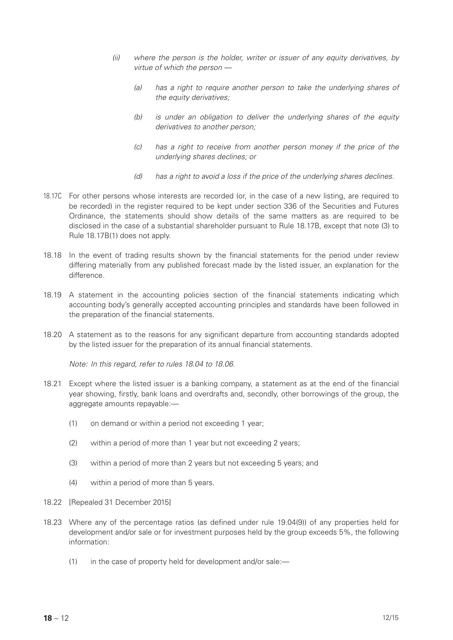- *(ii) where the person is the holder, writer or issuer of any equity derivatives, by virtue of which the person —*
	- *(a) has a right to require another person to take the underlying shares of the equity derivatives;*
	- *(b) is under an obligation to deliver the underlying shares of the equity derivatives to another person;*
	- *(c) has a right to receive from another person money if the price of the underlying shares declines; or*
	- *(d) has a right to avoid a loss if the price of the underlying shares declines.*
- 18.17C For other persons whose interests are recorded (or, in the case of a new listing, are required to be recorded) in the register required to be kept under section 336 of the Securities and Futures Ordinance, the statements should show details of the same matters as are required to be disclosed in the case of a substantial shareholder pursuant to Rule 18.17B, except that note (3) to Rule 18.17B(1) does not apply.
- 18.18 In the event of trading results shown by the financial statements for the period under review differing materially from any published forecast made by the listed issuer, an explanation for the difference.
- 18.19 A statement in the accounting policies section of the financial statements indicating which accounting body's generally accepted accounting principles and standards have been followed in the preparation of the financial statements.
- 18.20 A statement as to the reasons for any significant departure from accounting standards adopted by the listed issuer for the preparation of its annual financial statements.

*Note: In this regard, refer to rules 18.04 to 18.06.*

- 18.21 Except where the listed issuer is a banking company, a statement as at the end of the financial year showing, firstly, bank loans and overdrafts and, secondly, other borrowings of the group, the aggregate amounts repayable:—
	- (1) on demand or within a period not exceeding 1 year;
	- (2) within a period of more than 1 year but not exceeding 2 years;
	- (3) within a period of more than 2 years but not exceeding 5 years; and
	- (4) within a period of more than 5 years.
- 18.22 [Repealed 31 December 2015]
- 18.23 Where any of the percentage ratios (as defined under rule 19.04(9)) of any properties held for development and/or sale or for investment purposes held by the group exceeds 5%, the following information:
	- (1) in the case of property held for development and/or sale:—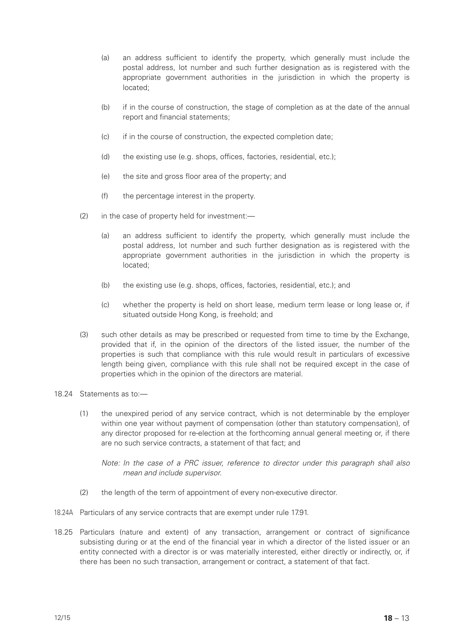- (a) an address sufficient to identify the property, which generally must include the postal address, lot number and such further designation as is registered with the appropriate government authorities in the jurisdiction in which the property is located;
- (b) if in the course of construction, the stage of completion as at the date of the annual report and financial statements;
- (c) if in the course of construction, the expected completion date;
- (d) the existing use (e.g. shops, offices, factories, residential, etc.);
- (e) the site and gross floor area of the property; and
- (f) the percentage interest in the property.
- (2) in the case of property held for investment:—
	- (a) an address sufficient to identify the property, which generally must include the postal address, lot number and such further designation as is registered with the appropriate government authorities in the jurisdiction in which the property is located;
	- (b) the existing use (e.g. shops, offices, factories, residential, etc.); and
	- (c) whether the property is held on short lease, medium term lease or long lease or, if situated outside Hong Kong, is freehold; and
- (3) such other details as may be prescribed or requested from time to time by the Exchange, provided that if, in the opinion of the directors of the listed issuer, the number of the properties is such that compliance with this rule would result in particulars of excessive length being given, compliance with this rule shall not be required except in the case of properties which in the opinion of the directors are material.
- 18.24 Statements as to:—
	- (1) the unexpired period of any service contract, which is not determinable by the employer within one year without payment of compensation (other than statutory compensation), of any director proposed for re-election at the forthcoming annual general meeting or, if there are no such service contracts, a statement of that fact; and

*Note: In the case of a PRC issuer, reference to director under this paragraph shall also mean and include supervisor.*

- (2) the length of the term of appointment of every non-executive director.
- 18.24A Particulars of any service contracts that are exempt under rule 17.91.
- 18.25 Particulars (nature and extent) of any transaction, arrangement or contract of significance subsisting during or at the end of the financial year in which a director of the listed issuer or an entity connected with a director is or was materially interested, either directly or indirectly, or, if there has been no such transaction, arrangement or contract, a statement of that fact.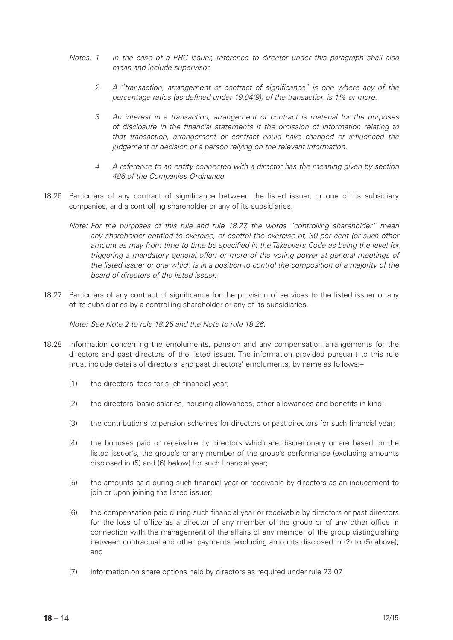- *Notes: 1 In the case of a PRC issuer, reference to director under this paragraph shall also mean and include supervisor.*
	- *2 A "transaction, arrangement or contract of significance" is one where any of the percentage ratios (as defined under 19.04(9)) of the transaction is 1% or more.*
	- *3 An interest in a transaction, arrangement or contract is material for the purposes of disclosure in the financial statements if the omission of information relating to that transaction, arrangement or contract could have changed or influenced the judgement or decision of a person relying on the relevant information.*
	- *4 A reference to an entity connected with a director has the meaning given by section 486 of the Companies Ordinance.*
- 18.26 Particulars of any contract of significance between the listed issuer, or one of its subsidiary companies, and a controlling shareholder or any of its subsidiaries.
	- *Note: For the purposes of this rule and rule 18.27, the words "controlling shareholder" mean any shareholder entitled to exercise, or control the exercise of, 30 per cent (or such other amount as may from time to time be specified in the Takeovers Code as being the level for triggering a mandatory general offer) or more of the voting power at general meetings of the listed issuer or one which is in a position to control the composition of a majority of the board of directors of the listed issuer.*
- 18.27 Particulars of any contract of significance for the provision of services to the listed issuer or any of its subsidiaries by a controlling shareholder or any of its subsidiaries.

*Note: See Note 2 to rule 18.25 and the Note to rule 18.26.*

- 18.28 Information concerning the emoluments, pension and any compensation arrangements for the directors and past directors of the listed issuer. The information provided pursuant to this rule must include details of directors' and past directors' emoluments, by name as follows:–
	- (1) the directors' fees for such financial year;
	- (2) the directors' basic salaries, housing allowances, other allowances and benefits in kind;
	- (3) the contributions to pension schemes for directors or past directors for such financial year;
	- (4) the bonuses paid or receivable by directors which are discretionary or are based on the listed issuer's, the group's or any member of the group's performance (excluding amounts disclosed in (5) and (6) below) for such financial year;
	- (5) the amounts paid during such financial year or receivable by directors as an inducement to join or upon joining the listed issuer;
	- (6) the compensation paid during such financial year or receivable by directors or past directors for the loss of office as a director of any member of the group or of any other office in connection with the management of the affairs of any member of the group distinguishing between contractual and other payments (excluding amounts disclosed in (2) to (5) above); and
	- (7) information on share options held by directors as required under rule 23.07.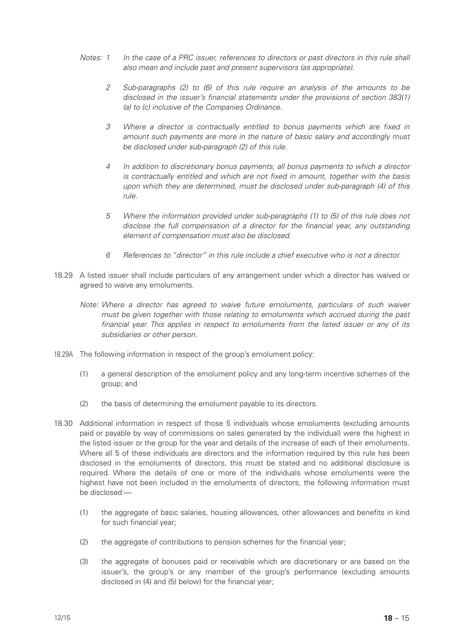- *Notes: 1 In the case of a PRC issuer, references to directors or past directors in this rule shall also mean and include past and present supervisors (as appropriate).*
	- *2 Sub-paragraphs (2) to (6) of this rule require an analysis of the amounts to be disclosed in the issuer's financial statements under the provisions of section 383(1) (a) to (c) inclusive of the Companies Ordinance.*
	- *3 Where a director is contractually entitled to bonus payments which are fixed in amount such payments are more in the nature of basic salary and accordingly must be disclosed under sub-paragraph (2) of this rule.*
	- *4 In addition to discretionary bonus payments, all bonus payments to which a director is contractually entitled and which are not fixed in amount, together with the basis upon which they are determined, must be disclosed under sub-paragraph (4) of this rule.*
	- *5 Where the information provided under sub-paragraphs (1) to (5) of this rule does not disclose the full compensation of a director for the financial year, any outstanding element of compensation must also be disclosed.*
	- *6 References to "director" in this rule include a chief executive who is not a director.*
- 18.29 A listed issuer shall include particulars of any arrangement under which a director has waived or agreed to waive any emoluments.
	- *Note: Where a director has agreed to waive future emoluments, particulars of such waiver must be given together with those relating to emoluments which accrued during the past financial year. This applies in respect to emoluments from the listed issuer or any of its subsidiaries or other person.*
- 18.29A The following information in respect of the group's emolument policy:
	- (1) a general description of the emolument policy and any long-term incentive schemes of the group; and
	- (2) the basis of determining the emolument payable to its directors.
- 18.30 Additional information in respect of those 5 individuals whose emoluments (excluding amounts paid or payable by way of commissions on sales generated by the individual) were the highest in the listed issuer or the group for the year and details of the increase of each of their emoluments. Where all 5 of these individuals are directors and the information required by this rule has been disclosed in the emoluments of directors, this must be stated and no additional disclosure is required. Where the details of one or more of the individuals whose emoluments were the highest have not been included in the emoluments of directors, the following information must be disclosed:—
	- (1) the aggregate of basic salaries, housing allowances, other allowances and benefits in kind for such financial year;
	- (2) the aggregate of contributions to pension schemes for the financial year;
	- (3) the aggregate of bonuses paid or receivable which are discretionary or are based on the issuer's, the group's or any member of the group's performance (excluding amounts disclosed in (4) and (5) below) for the financial year;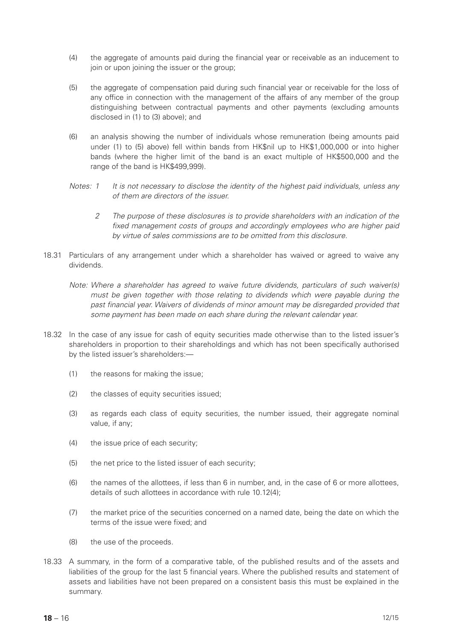- (4) the aggregate of amounts paid during the financial year or receivable as an inducement to join or upon joining the issuer or the group;
- (5) the aggregate of compensation paid during such financial year or receivable for the loss of any office in connection with the management of the affairs of any member of the group distinguishing between contractual payments and other payments (excluding amounts disclosed in (1) to (3) above); and
- (6) an analysis showing the number of individuals whose remuneration (being amounts paid under (1) to (5) above) fell within bands from HK\$nil up to HK\$1,000,000 or into higher bands (where the higher limit of the band is an exact multiple of HK\$500,000 and the range of the band is HK\$499,999).
- *Notes: 1 It is not necessary to disclose the identity of the highest paid individuals, unless any of them are directors of the issuer.*
	- *2 The purpose of these disclosures is to provide shareholders with an indication of the fixed management costs of groups and accordingly employees who are higher paid by virtue of sales commissions are to be omitted from this disclosure.*
- 18.31 Particulars of any arrangement under which a shareholder has waived or agreed to waive any dividends.
	- *Note: Where a shareholder has agreed to waive future dividends, particulars of such waiver(s) must be given together with those relating to dividends which were payable during the past financial year. Waivers of dividends of minor amount may be disregarded provided that some payment has been made on each share during the relevant calendar year.*
- 18.32 In the case of any issue for cash of equity securities made otherwise than to the listed issuer's shareholders in proportion to their shareholdings and which has not been specifically authorised by the listed issuer's shareholders:—
	- (1) the reasons for making the issue;
	- (2) the classes of equity securities issued;
	- (3) as regards each class of equity securities, the number issued, their aggregate nominal value, if any;
	- (4) the issue price of each security;
	- (5) the net price to the listed issuer of each security;
	- (6) the names of the allottees, if less than 6 in number, and, in the case of 6 or more allottees, details of such allottees in accordance with rule 10.12(4);
	- (7) the market price of the securities concerned on a named date, being the date on which the terms of the issue were fixed; and
	- (8) the use of the proceeds.
- 18.33 A summary, in the form of a comparative table, of the published results and of the assets and liabilities of the group for the last 5 financial years. Where the published results and statement of assets and liabilities have not been prepared on a consistent basis this must be explained in the summary.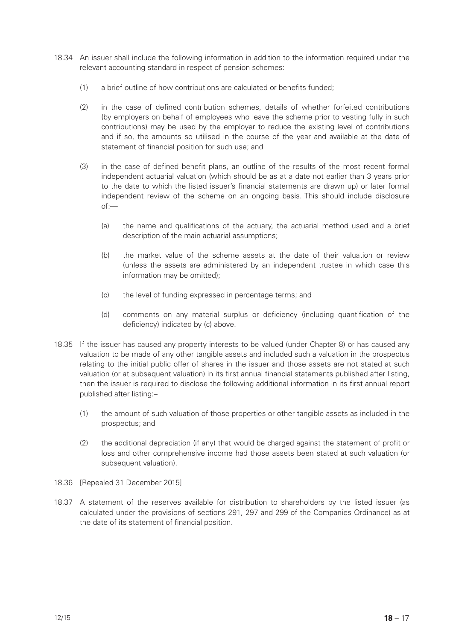- 18.34 An issuer shall include the following information in addition to the information required under the relevant accounting standard in respect of pension schemes:
	- (1) a brief outline of how contributions are calculated or benefits funded;
	- (2) in the case of defined contribution schemes, details of whether forfeited contributions (by employers on behalf of employees who leave the scheme prior to vesting fully in such contributions) may be used by the employer to reduce the existing level of contributions and if so, the amounts so utilised in the course of the year and available at the date of statement of financial position for such use; and
	- (3) in the case of defined benefit plans, an outline of the results of the most recent formal independent actuarial valuation (which should be as at a date not earlier than 3 years prior to the date to which the listed issuer's financial statements are drawn up) or later formal independent review of the scheme on an ongoing basis. This should include disclosure of:—
		- (a) the name and qualifications of the actuary, the actuarial method used and a brief description of the main actuarial assumptions;
		- (b) the market value of the scheme assets at the date of their valuation or review (unless the assets are administered by an independent trustee in which case this information may be omitted);
		- (c) the level of funding expressed in percentage terms; and
		- (d) comments on any material surplus or deficiency (including quantification of the deficiency) indicated by (c) above.
- 18.35 If the issuer has caused any property interests to be valued (under Chapter 8) or has caused any valuation to be made of any other tangible assets and included such a valuation in the prospectus relating to the initial public offer of shares in the issuer and those assets are not stated at such valuation (or at subsequent valuation) in its first annual financial statements published after listing, then the issuer is required to disclose the following additional information in its first annual report published after listing:–
	- (1) the amount of such valuation of those properties or other tangible assets as included in the prospectus; and
	- (2) the additional depreciation (if any) that would be charged against the statement of profit or loss and other comprehensive income had those assets been stated at such valuation (or subsequent valuation).
- 18.36 [Repealed 31 December 2015]
- 18.37 A statement of the reserves available for distribution to shareholders by the listed issuer (as calculated under the provisions of sections 291, 297 and 299 of the Companies Ordinance) as at the date of its statement of financial position.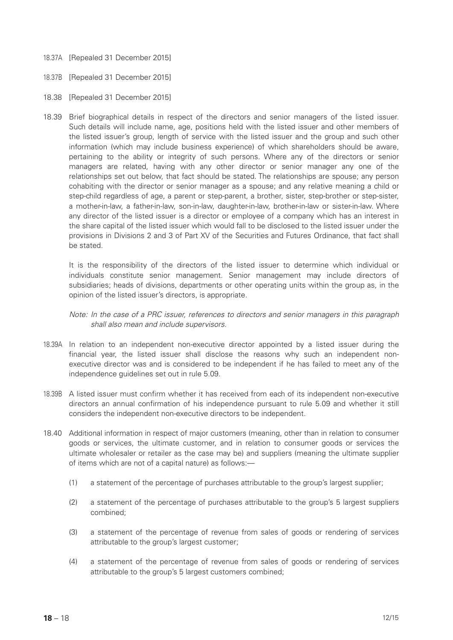- 18.37A [Repealed 31 December 2015]
- 18.37B [Repealed 31 December 2015]
- 18.38 [Repealed 31 December 2015]
- 18.39 Brief biographical details in respect of the directors and senior managers of the listed issuer. Such details will include name, age, positions held with the listed issuer and other members of the listed issuer's group, length of service with the listed issuer and the group and such other information (which may include business experience) of which shareholders should be aware, pertaining to the ability or integrity of such persons. Where any of the directors or senior managers are related, having with any other director or senior manager any one of the relationships set out below, that fact should be stated. The relationships are spouse; any person cohabiting with the director or senior manager as a spouse; and any relative meaning a child or step-child regardless of age, a parent or step-parent, a brother, sister, step-brother or step-sister, a mother-in-law, a father-in-law, son-in-law, daughter-in-law, brother-in-law or sister-in-law. Where any director of the listed issuer is a director or employee of a company which has an interest in the share capital of the listed issuer which would fall to be disclosed to the listed issuer under the provisions in Divisions 2 and 3 of Part XV of the Securities and Futures Ordinance, that fact shall be stated.

It is the responsibility of the directors of the listed issuer to determine which individual or individuals constitute senior management. Senior management may include directors of subsidiaries; heads of divisions, departments or other operating units within the group as, in the opinion of the listed issuer's directors, is appropriate.

# *Note: In the case of a PRC issuer, references to directors and senior managers in this paragraph shall also mean and include supervisors.*

- 18.39A In relation to an independent non-executive director appointed by a listed issuer during the financial year, the listed issuer shall disclose the reasons why such an independent nonexecutive director was and is considered to be independent if he has failed to meet any of the independence guidelines set out in rule 5.09.
- 18.39B A listed issuer must confirm whether it has received from each of its independent non-executive directors an annual confirmation of his independence pursuant to rule 5.09 and whether it still considers the independent non-executive directors to be independent.
- 18.40 Additional information in respect of major customers (meaning, other than in relation to consumer goods or services, the ultimate customer, and in relation to consumer goods or services the ultimate wholesaler or retailer as the case may be) and suppliers (meaning the ultimate supplier of items which are not of a capital nature) as follows:—
	- (1) a statement of the percentage of purchases attributable to the group's largest supplier;
	- (2) a statement of the percentage of purchases attributable to the group's 5 largest suppliers combined;
	- (3) a statement of the percentage of revenue from sales of goods or rendering of services attributable to the group's largest customer;
	- (4) a statement of the percentage of revenue from sales of goods or rendering of services attributable to the group's 5 largest customers combined;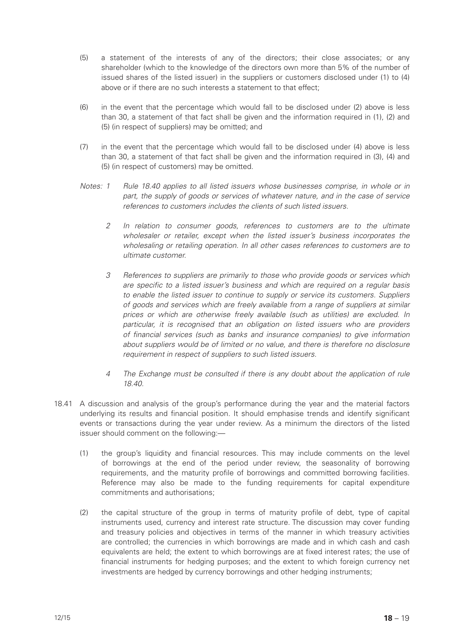- (5) a statement of the interests of any of the directors; their close associates; or any shareholder (which to the knowledge of the directors own more than 5% of the number of issued shares of the listed issuer) in the suppliers or customers disclosed under (1) to (4) above or if there are no such interests a statement to that effect;
- (6) in the event that the percentage which would fall to be disclosed under (2) above is less than 30, a statement of that fact shall be given and the information required in (1), (2) and (5) (in respect of suppliers) may be omitted; and
- (7) in the event that the percentage which would fall to be disclosed under (4) above is less than 30, a statement of that fact shall be given and the information required in (3), (4) and (5) (in respect of customers) may be omitted.
- *Notes: 1 Rule 18.40 applies to all listed issuers whose businesses comprise, in whole or in part, the supply of goods or services of whatever nature, and in the case of service references to customers includes the clients of such listed issuers.*
	- *2 In relation to consumer goods, references to customers are to the ultimate wholesaler or retailer, except when the listed issuer's business incorporates the wholesaling or retailing operation. In all other cases references to customers are to ultimate customer.*
	- *3 References to suppliers are primarily to those who provide goods or services which are specific to a listed issuer's business and which are required on a regular basis to enable the listed issuer to continue to supply or service its customers. Suppliers of goods and services which are freely available from a range of suppliers at similar prices or which are otherwise freely available (such as utilities) are excluded. In particular, it is recognised that an obligation on listed issuers who are providers of financial services (such as banks and insurance companies) to give information about suppliers would be of limited or no value, and there is therefore no disclosure requirement in respect of suppliers to such listed issuers.*
	- *4 The Exchange must be consulted if there is any doubt about the application of rule 18.40.*
- 18.41 A discussion and analysis of the group's performance during the year and the material factors underlying its results and financial position. It should emphasise trends and identify significant events or transactions during the year under review. As a minimum the directors of the listed issuer should comment on the following:—
	- (1) the group's liquidity and financial resources. This may include comments on the level of borrowings at the end of the period under review, the seasonality of borrowing requirements, and the maturity profile of borrowings and committed borrowing facilities. Reference may also be made to the funding requirements for capital expenditure commitments and authorisations;
	- (2) the capital structure of the group in terms of maturity profile of debt, type of capital instruments used, currency and interest rate structure. The discussion may cover funding and treasury policies and objectives in terms of the manner in which treasury activities are controlled; the currencies in which borrowings are made and in which cash and cash equivalents are held; the extent to which borrowings are at fixed interest rates; the use of financial instruments for hedging purposes; and the extent to which foreign currency net investments are hedged by currency borrowings and other hedging instruments;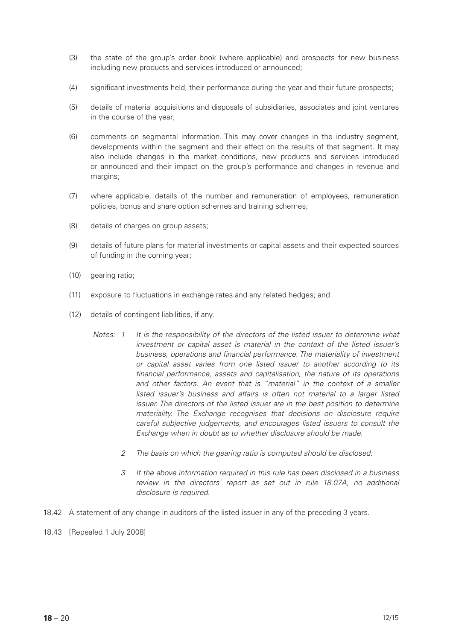- (3) the state of the group's order book (where applicable) and prospects for new business including new products and services introduced or announced;
- (4) significant investments held, their performance during the year and their future prospects;
- (5) details of material acquisitions and disposals of subsidiaries, associates and joint ventures in the course of the year;
- (6) comments on segmental information. This may cover changes in the industry segment, developments within the segment and their effect on the results of that segment. It may also include changes in the market conditions, new products and services introduced or announced and their impact on the group's performance and changes in revenue and margins;
- (7) where applicable, details of the number and remuneration of employees, remuneration policies, bonus and share option schemes and training schemes;
- (8) details of charges on group assets;
- (9) details of future plans for material investments or capital assets and their expected sources of funding in the coming year;
- (10) gearing ratio;
- (11) exposure to fluctuations in exchange rates and any related hedges; and
- (12) details of contingent liabilities, if any.
	- *Notes: 1 It is the responsibility of the directors of the listed issuer to determine what investment or capital asset is material in the context of the listed issuer's business, operations and financial performance. The materiality of investment or capital asset varies from one listed issuer to another according to its financial performance, assets and capitalisation, the nature of its operations*  and other factors. An event that is "material" in the context of a smaller listed issuer's business and affairs is often not material to a larger listed *issuer. The directors of the listed issuer are in the best position to determine materiality. The Exchange recognises that decisions on disclosure require careful subjective judgements, and encourages listed issuers to consult the Exchange when in doubt as to whether disclosure should be made.*
		- *2 The basis on which the gearing ratio is computed should be disclosed.*
		- *3 If the above information required in this rule has been disclosed in a business review in the directors' report as set out in rule 18.07A, no additional disclosure is required.*
- 18.42 A statement of any change in auditors of the listed issuer in any of the preceding 3 years.
- 18.43 [Repealed 1 July 2008]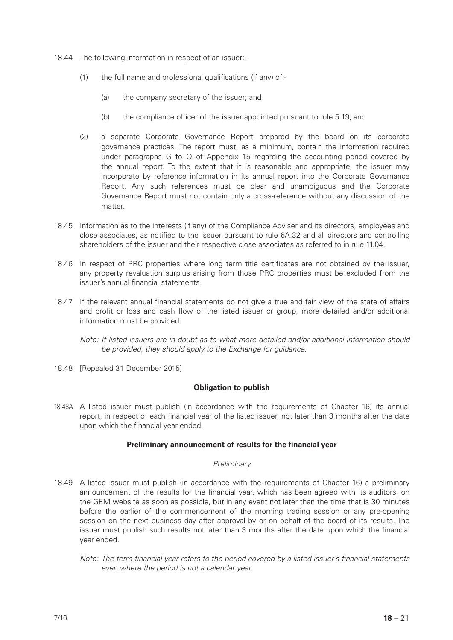- 18.44 The following information in respect of an issuer:-
	- (1) the full name and professional qualifications (if any) of:-
		- (a) the company secretary of the issuer; and
		- (b) the compliance officer of the issuer appointed pursuant to rule 5.19; and
	- (2) a separate Corporate Governance Report prepared by the board on its corporate governance practices. The report must, as a minimum, contain the information required under paragraphs G to  $Q$  of Appendix 15 regarding the accounting period covered by the annual report. To the extent that it is reasonable and appropriate, the issuer may incorporate by reference information in its annual report into the Corporate Governance Report. Any such references must be clear and unambiguous and the Corporate Governance Report must not contain only a cross-reference without any discussion of the matter.
- 18.45 Information as to the interests (if any) of the Compliance Adviser and its directors, employees and close associates, as notified to the issuer pursuant to rule 6A.32 and all directors and controlling shareholders of the issuer and their respective close associates as referred to in rule 11.04.
- 18.46 In respect of PRC properties where long term title certificates are not obtained by the issuer, any property revaluation surplus arising from those PRC properties must be excluded from the issuer's annual financial statements.
- 18.47 If the relevant annual financial statements do not give a true and fair view of the state of affairs and profit or loss and cash flow of the listed issuer or group, more detailed and/or additional information must be provided.
	- *Note: If listed issuers are in doubt as to what more detailed and/or additional information should be provided, they should apply to the Exchange for guidance.*
- 18.48 [Repealed 31 December 2015]

# **Obligation to publish**

18.48A A listed issuer must publish (in accordance with the requirements of Chapter 16) its annual report, in respect of each financial year of the listed issuer, not later than 3 months after the date upon which the financial year ended.

# **Preliminary announcement of results for the financial year**

# *Preliminary*

- 18.49 A listed issuer must publish (in accordance with the requirements of Chapter 16) a preliminary announcement of the results for the financial year, which has been agreed with its auditors, on the GEM website as soon as possible, but in any event not later than the time that is 30 minutes before the earlier of the commencement of the morning trading session or any pre-opening session on the next business day after approval by or on behalf of the board of its results. The issuer must publish such results not later than 3 months after the date upon which the financial year ended.
	- *Note: The term financial year refers to the period covered by a listed issuer's financial statements even where the period is not a calendar year.*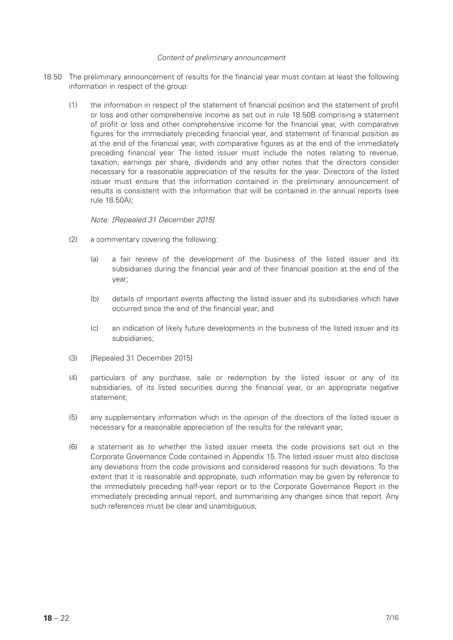#### *Content of preliminary announcement*

- 18.50 The preliminary announcement of results for the financial year must contain at least the following information in respect of the group:
	- (1) the information in respect of the statement of financial position and the statement of profit or loss and other comprehensive income as set out in rule 18.50B comprising a statement of profit or loss and other comprehensive income for the financial year, with comparative figures for the immediately preceding financial year, and statement of financial position as at the end of the financial year, with comparative figures as at the end of the immediately preceding financial year. The listed issuer must include the notes relating to revenue, taxation, earnings per share, dividends and any other notes that the directors consider necessary for a reasonable appreciation of the results for the year. Directors of the listed issuer must ensure that the information contained in the preliminary announcement of results is consistent with the information that will be contained in the annual reports (see rule 18.50A);

*Note: [Repealed 31 December 2015]*

- (2) a commentary covering the following:
	- (a) a fair review of the development of the business of the listed issuer and its subsidiaries during the financial year and of their financial position at the end of the year;
	- (b) details of important events affecting the listed issuer and its subsidiaries which have occurred since the end of the financial year; and
	- (c) an indication of likely future developments in the business of the listed issuer and its subsidiaries;
- (3) [Repealed 31 December 2015]
- (4) particulars of any purchase, sale or redemption by the listed issuer or any of its subsidiaries, of its listed securities during the financial year, or an appropriate negative statement;
- (5) any supplementary information which in the opinion of the directors of the listed issuer is necessary for a reasonable appreciation of the results for the relevant year;
- (6) a statement as to whether the listed issuer meets the code provisions set out in the Corporate Governance Code contained in Appendix 15. The listed issuer must also disclose any deviations from the code provisions and considered reasons for such deviations. To the extent that it is reasonable and appropriate, such information may be given by reference to the immediately preceding half-year report or to the Corporate Governance Report in the immediately preceding annual report, and summarising any changes since that report. Any such references must be clear and unambiguous;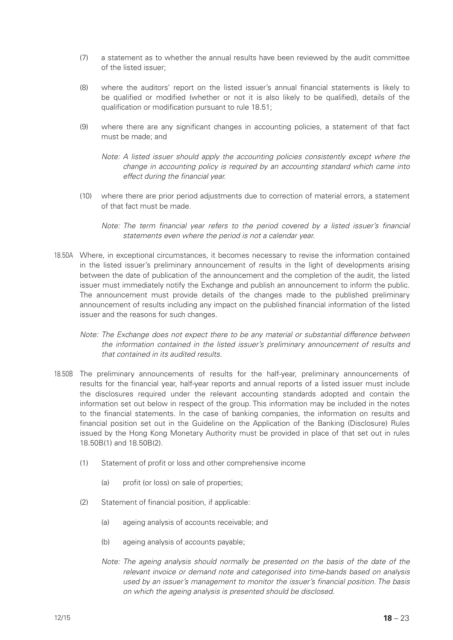- (7) a statement as to whether the annual results have been reviewed by the audit committee of the listed issuer;
- (8) where the auditors' report on the listed issuer's annual financial statements is likely to be qualified or modified (whether or not it is also likely to be qualified), details of the qualification or modification pursuant to rule 18.51;
- (9) where there are any significant changes in accounting policies, a statement of that fact must be made; and
	- *Note: A listed issuer should apply the accounting policies consistently except where the change in accounting policy is required by an accounting standard which came into effect during the financial year.*
- (10) where there are prior period adjustments due to correction of material errors, a statement of that fact must be made.
	- *Note: The term financial year refers to the period covered by a listed issuer's financial statements even where the period is not a calendar year.*
- 18.50A Where, in exceptional circumstances, it becomes necessary to revise the information contained in the listed issuer's preliminary announcement of results in the light of developments arising between the date of publication of the announcement and the completion of the audit, the listed issuer must immediately notify the Exchange and publish an announcement to inform the public. The announcement must provide details of the changes made to the published preliminary announcement of results including any impact on the published financial information of the listed issuer and the reasons for such changes.
	- *Note: The Exchange does not expect there to be any material or substantial difference between the information contained in the listed issuer's preliminary announcement of results and that contained in its audited results.*
- 18.50B The preliminary announcements of results for the half-year, preliminary announcements of results for the financial year, half-year reports and annual reports of a listed issuer must include the disclosures required under the relevant accounting standards adopted and contain the information set out below in respect of the group. This information may be included in the notes to the financial statements. In the case of banking companies, the information on results and financial position set out in the Guideline on the Application of the Banking (Disclosure) Rules issued by the Hong Kong Monetary Authority must be provided in place of that set out in rules 18.50B(1) and 18.50B(2).
	- (1) Statement of profit or loss and other comprehensive income
		- (a) profit (or loss) on sale of properties;
	- (2) Statement of financial position, if applicable:
		- (a) ageing analysis of accounts receivable; and
		- (b) ageing analysis of accounts payable;
		- *Note: The ageing analysis should normally be presented on the basis of the date of the relevant invoice or demand note and categorised into time-bands based on analysis used by an issuer's management to monitor the issuer's financial position. The basis on which the ageing analysis is presented should be disclosed.*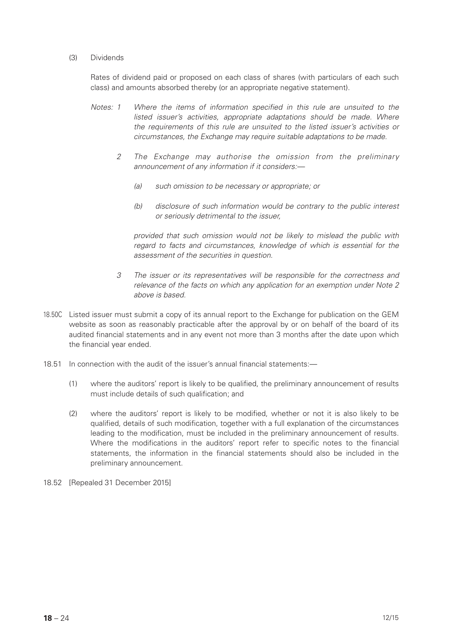#### (3) Dividends

Rates of dividend paid or proposed on each class of shares (with particulars of each such class) and amounts absorbed thereby (or an appropriate negative statement).

- *Notes: 1 Where the items of information specified in this rule are unsuited to the*  listed issuer's activities, appropriate adaptations should be made. Where *the requirements of this rule are unsuited to the listed issuer's activities or circumstances, the Exchange may require suitable adaptations to be made.*
	- *2 The Exchange may authorise the omission from the preliminary announcement of any information if it considers:—*
		- *(a) such omission to be necessary or appropriate; or*
		- *(b) disclosure of such information would be contrary to the public interest or seriously detrimental to the issuer,*

*provided that such omission would not be likely to mislead the public with regard to facts and circumstances, knowledge of which is essential for the assessment of the securities in question.*

- *3 The issuer or its representatives will be responsible for the correctness and relevance of the facts on which any application for an exemption under Note 2 above is based.*
- 18.50C Listed issuer must submit a copy of its annual report to the Exchange for publication on the GEM website as soon as reasonably practicable after the approval by or on behalf of the board of its audited financial statements and in any event not more than 3 months after the date upon which the financial year ended.
- 18.51 In connection with the audit of the issuer's annual financial statements:—
	- (1) where the auditors' report is likely to be qualified, the preliminary announcement of results must include details of such qualification; and
	- (2) where the auditors' report is likely to be modified, whether or not it is also likely to be qualified, details of such modification, together with a full explanation of the circumstances leading to the modification, must be included in the preliminary announcement of results. Where the modifications in the auditors' report refer to specific notes to the financial statements, the information in the financial statements should also be included in the preliminary announcement.
- 18.52 [Repealed 31 December 2015]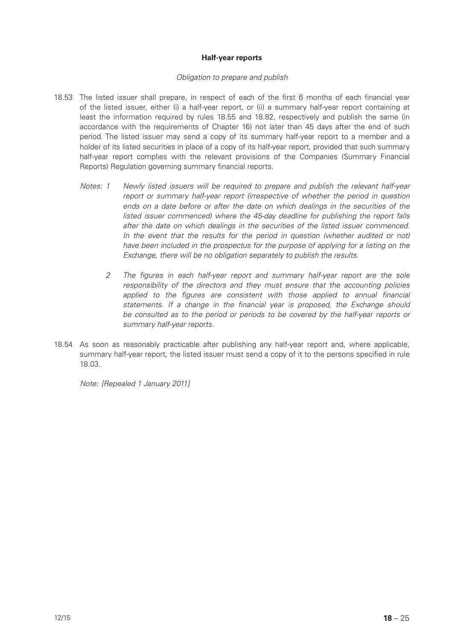# **Half-year reports**

#### *Obligation to prepare and publish*

- 18.53 The listed issuer shall prepare, in respect of each of the first 6 months of each financial year of the listed issuer, either (i) a half-year report, or (ii) a summary half-year report containing at least the information required by rules 18.55 and 18.82, respectively and publish the same (in accordance with the requirements of Chapter 16) not later than 45 days after the end of such period. The listed issuer may send a copy of its summary half-year report to a member and a holder of its listed securities in place of a copy of its half-year report, provided that such summary half-year report complies with the relevant provisions of the Companies (Summary Financial Reports) Regulation governing summary financial reports.
	- *Notes: 1 Newly listed issuers will be required to prepare and publish the relevant half-year report or summary half-year report (irrespective of whether the period in question ends on a date before or after the date on which dealings in the securities of the listed issuer commenced) where the 45-day deadline for publishing the report falls after the date on which dealings in the securities of the listed issuer commenced. In the event that the results for the period in question (whether audited or not) have been included in the prospectus for the purpose of applying for a listing on the Exchange, there will be no obligation separately to publish the results.*
		- *2 The figures in each half-year report and summary half-year report are the sole responsibility of the directors and they must ensure that the accounting policies*  applied to the figures are consistent with those applied to annual financial *statements. If a change in the financial year is proposed, the Exchange should be consulted as to the period or periods to be covered by the half-year reports or summary half-year reports.*
- 18.54 As soon as reasonably practicable after publishing any half-year report and, where applicable, summary half-year report, the listed issuer must send a copy of it to the persons specified in rule 18.03.

*Note: [Repealed 1 January 2011]*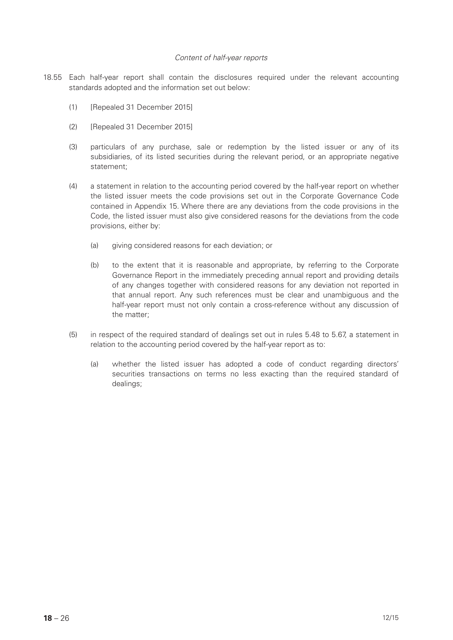#### *Content of half-year reports*

- 18.55 Each half-year report shall contain the disclosures required under the relevant accounting standards adopted and the information set out below:
	- (1) [Repealed 31 December 2015]
	- (2) [Repealed 31 December 2015]
	- (3) particulars of any purchase, sale or redemption by the listed issuer or any of its subsidiaries, of its listed securities during the relevant period, or an appropriate negative statement;
	- (4) a statement in relation to the accounting period covered by the half-year report on whether the listed issuer meets the code provisions set out in the Corporate Governance Code contained in Appendix 15. Where there are any deviations from the code provisions in the Code, the listed issuer must also give considered reasons for the deviations from the code provisions, either by:
		- (a) giving considered reasons for each deviation; or
		- (b) to the extent that it is reasonable and appropriate, by referring to the Corporate Governance Report in the immediately preceding annual report and providing details of any changes together with considered reasons for any deviation not reported in that annual report. Any such references must be clear and unambiguous and the half-year report must not only contain a cross-reference without any discussion of the matter;
	- (5) in respect of the required standard of dealings set out in rules 5.48 to 5.67, a statement in relation to the accounting period covered by the half-year report as to:
		- (a) whether the listed issuer has adopted a code of conduct regarding directors' securities transactions on terms no less exacting than the required standard of dealings;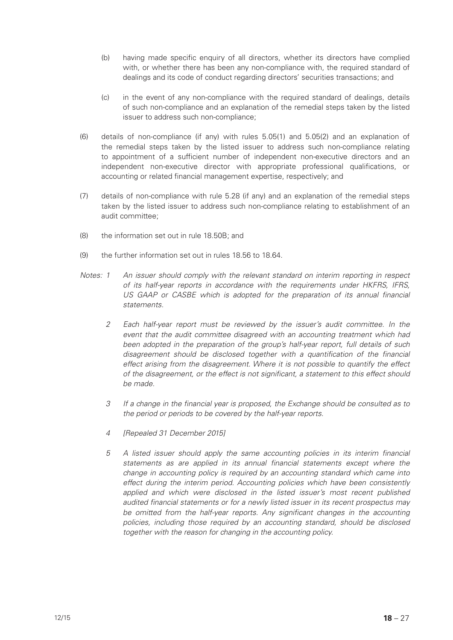- (b) having made specific enquiry of all directors, whether its directors have complied with, or whether there has been any non-compliance with, the required standard of dealings and its code of conduct regarding directors' securities transactions; and
- (c) in the event of any non-compliance with the required standard of dealings, details of such non-compliance and an explanation of the remedial steps taken by the listed issuer to address such non-compliance;
- (6) details of non-compliance (if any) with rules 5.05(1) and 5.05(2) and an explanation of the remedial steps taken by the listed issuer to address such non-compliance relating to appointment of a sufficient number of independent non-executive directors and an independent non-executive director with appropriate professional qualifications, or accounting or related financial management expertise, respectively; and
- (7) details of non-compliance with rule 5.28 (if any) and an explanation of the remedial steps taken by the listed issuer to address such non-compliance relating to establishment of an audit committee;
- (8) the information set out in rule 18.50B; and
- (9) the further information set out in rules 18.56 to 18.64.
- *Notes: 1 An issuer should comply with the relevant standard on interim reporting in respect of its half-year reports in accordance with the requirements under HKFRS, IFRS,*  US GAAP or CASBE which is adopted for the preparation of its annual financial *statements.*
	- *2 Each half-year report must be reviewed by the issuer's audit committee. In the event that the audit committee disagreed with an accounting treatment which had been adopted in the preparation of the group's half-year report, full details of such disagreement should be disclosed together with a quantification of the financial effect arising from the disagreement. Where it is not possible to quantify the effect of the disagreement, or the effect is not significant, a statement to this effect should be made.*
	- *3 If a change in the financial year is proposed, the Exchange should be consulted as to the period or periods to be covered by the half-year reports.*
	- *4 [Repealed 31 December 2015]*
	- *5 A listed issuer should apply the same accounting policies in its interim financial statements as are applied in its annual financial statements except where the change in accounting policy is required by an accounting standard which came into effect during the interim period. Accounting policies which have been consistently*  applied and which were disclosed in the listed issuer's most recent published *audited financial statements or for a newly listed issuer in its recent prospectus may*  be omitted from the half-year reports. Any significant changes in the accounting *policies, including those required by an accounting standard, should be disclosed together with the reason for changing in the accounting policy.*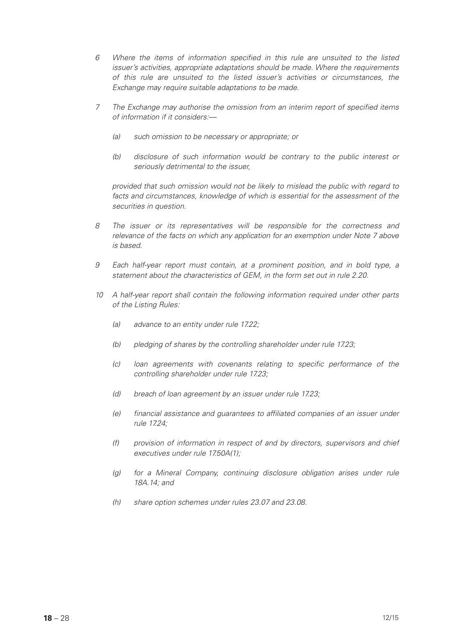- *6 Where the items of information specified in this rule are unsuited to the listed issuer's activities, appropriate adaptations should be made. Where the requirements of this rule are unsuited to the listed issuer's activities or circumstances, the Exchange may require suitable adaptations to be made.*
- *7 The Exchange may authorise the omission from an interim report of specified items of information if it considers:—*
	- *(a) such omission to be necessary or appropriate; or*
	- *(b) disclosure of such information would be contrary to the public interest or seriously detrimental to the issuer,*

*provided that such omission would not be likely to mislead the public with regard to*  facts and circumstances, knowledge of which is essential for the assessment of the *securities in question.*

- *8 The issuer or its representatives will be responsible for the correctness and relevance of the facts on which any application for an exemption under Note 7 above is based.*
- *9 Each half-year report must contain, at a prominent position, and in bold type, a statement about the characteristics of GEM, in the form set out in rule 2.20.*
- *10 A half-year report shall contain the following information required under other parts of the Listing Rules:*
	- *(a) advance to an entity under rule 17.22;*
	- *(b) pledging of shares by the controlling shareholder under rule 17.23;*
	- *(c) loan agreements with covenants relating to specific performance of the controlling shareholder under rule 17.23;*
	- *(d) breach of loan agreement by an issuer under rule 17.23;*
	- *(e) financial assistance and guarantees to affiliated companies of an issuer under rule 17.24;*
	- *(f) provision of information in respect of and by directors, supervisors and chief executives under rule 17.50A(1);*
	- *(g) for a Mineral Company, continuing disclosure obligation arises under rule 18A.14; and*
	- *(h) share option schemes under rules 23.07 and 23.08.*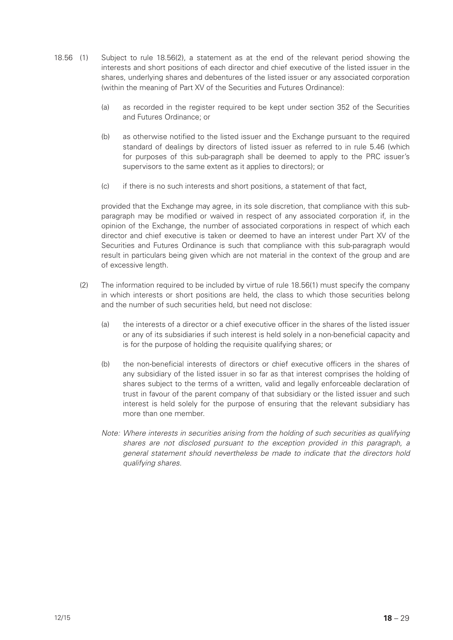- 18.56 (1) Subject to rule 18.56(2), a statement as at the end of the relevant period showing the interests and short positions of each director and chief executive of the listed issuer in the shares, underlying shares and debentures of the listed issuer or any associated corporation (within the meaning of Part XV of the Securities and Futures Ordinance):
	- (a) as recorded in the register required to be kept under section 352 of the Securities and Futures Ordinance; or
	- (b) as otherwise notified to the listed issuer and the Exchange pursuant to the required standard of dealings by directors of listed issuer as referred to in rule 5.46 (which for purposes of this sub-paragraph shall be deemed to apply to the PRC issuer's supervisors to the same extent as it applies to directors); or
	- (c) if there is no such interests and short positions, a statement of that fact,

provided that the Exchange may agree, in its sole discretion, that compliance with this subparagraph may be modified or waived in respect of any associated corporation if, in the opinion of the Exchange, the number of associated corporations in respect of which each director and chief executive is taken or deemed to have an interest under Part XV of the Securities and Futures Ordinance is such that compliance with this sub-paragraph would result in particulars being given which are not material in the context of the group and are of excessive length.

- (2) The information required to be included by virtue of rule 18.56(1) must specify the company in which interests or short positions are held, the class to which those securities belong and the number of such securities held, but need not disclose:
	- (a) the interests of a director or a chief executive officer in the shares of the listed issuer or any of its subsidiaries if such interest is held solely in a non-beneficial capacity and is for the purpose of holding the requisite qualifying shares; or
	- (b) the non-beneficial interests of directors or chief executive officers in the shares of any subsidiary of the listed issuer in so far as that interest comprises the holding of shares subject to the terms of a written, valid and legally enforceable declaration of trust in favour of the parent company of that subsidiary or the listed issuer and such interest is held solely for the purpose of ensuring that the relevant subsidiary has more than one member.
	- *Note: Where interests in securities arising from the holding of such securities as qualifying shares are not disclosed pursuant to the exception provided in this paragraph, a general statement should nevertheless be made to indicate that the directors hold qualifying shares.*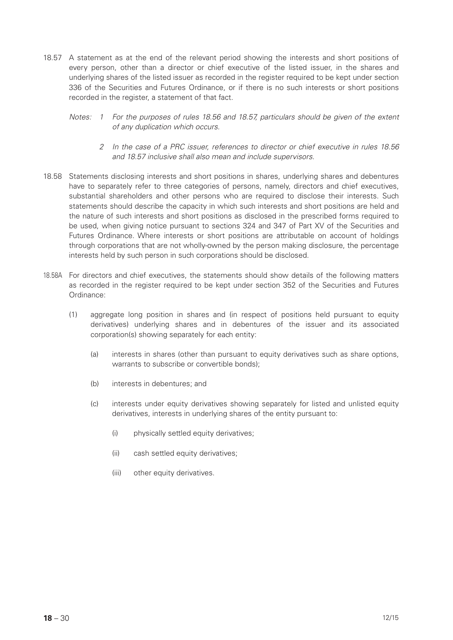- 18.57 A statement as at the end of the relevant period showing the interests and short positions of every person, other than a director or chief executive of the listed issuer, in the shares and underlying shares of the listed issuer as recorded in the register required to be kept under section 336 of the Securities and Futures Ordinance, or if there is no such interests or short positions recorded in the register, a statement of that fact.
	- *Notes: 1 For the purposes of rules 18.56 and 18.57, particulars should be given of the extent of any duplication which occurs.*
		- *2 In the case of a PRC issuer, references to director or chief executive in rules 18.56 and 18.57 inclusive shall also mean and include supervisors.*
- 18.58 Statements disclosing interests and short positions in shares, underlying shares and debentures have to separately refer to three categories of persons, namely, directors and chief executives, substantial shareholders and other persons who are required to disclose their interests. Such statements should describe the capacity in which such interests and short positions are held and the nature of such interests and short positions as disclosed in the prescribed forms required to be used, when giving notice pursuant to sections 324 and 347 of Part XV of the Securities and Futures Ordinance. Where interests or short positions are attributable on account of holdings through corporations that are not wholly-owned by the person making disclosure, the percentage interests held by such person in such corporations should be disclosed.
- 18.58A For directors and chief executives, the statements should show details of the following matters as recorded in the register required to be kept under section 352 of the Securities and Futures Ordinance:
	- (1) aggregate long position in shares and (in respect of positions held pursuant to equity derivatives) underlying shares and in debentures of the issuer and its associated corporation(s) showing separately for each entity:
		- (a) interests in shares (other than pursuant to equity derivatives such as share options, warrants to subscribe or convertible bonds);
		- (b) interests in debentures; and
		- (c) interests under equity derivatives showing separately for listed and unlisted equity derivatives, interests in underlying shares of the entity pursuant to:
			- (i) physically settled equity derivatives;
			- (ii) cash settled equity derivatives;
			- (iii) other equity derivatives.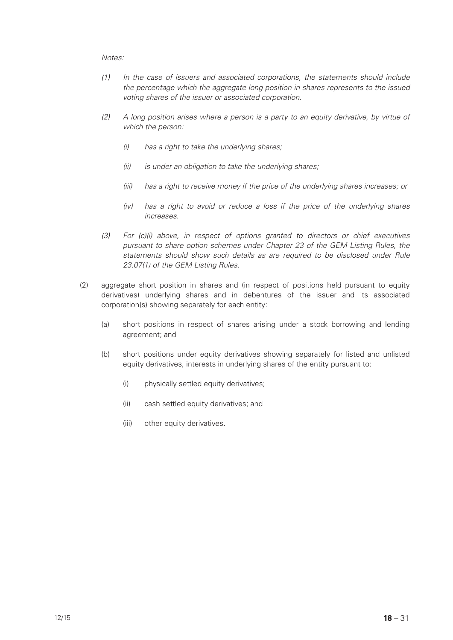- *(1) In the case of issuers and associated corporations, the statements should include the percentage which the aggregate long position in shares represents to the issued voting shares of the issuer or associated corporation.*
- *(2) A long position arises where a person is a party to an equity derivative, by virtue of which the person:*
	- *(i) has a right to take the underlying shares;*
	- *(ii) is under an obligation to take the underlying shares;*
	- *(iii) has a right to receive money if the price of the underlying shares increases; or*
	- *(iv) has a right to avoid or reduce a loss if the price of the underlying shares increases.*
- *(3) For (c)(i) above, in respect of options granted to directors or chief executives pursuant to share option schemes under Chapter 23 of the GEM Listing Rules, the statements should show such details as are required to be disclosed under Rule 23.07(1) of the GEM Listing Rules.*
- (2) aggregate short position in shares and (in respect of positions held pursuant to equity derivatives) underlying shares and in debentures of the issuer and its associated corporation(s) showing separately for each entity:
	- (a) short positions in respect of shares arising under a stock borrowing and lending agreement; and
	- (b) short positions under equity derivatives showing separately for listed and unlisted equity derivatives, interests in underlying shares of the entity pursuant to:
		- (i) physically settled equity derivatives;
		- (ii) cash settled equity derivatives; and
		- (iii) other equity derivatives.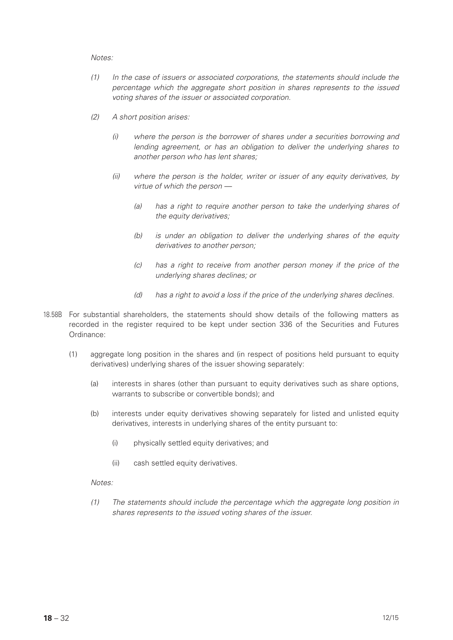- *(1) In the case of issuers or associated corporations, the statements should include the percentage which the aggregate short position in shares represents to the issued voting shares of the issuer or associated corporation.*
- *(2) A short position arises:*
	- *(i) where the person is the borrower of shares under a securities borrowing and lending agreement, or has an obligation to deliver the underlying shares to another person who has lent shares;*
	- *(ii) where the person is the holder, writer or issuer of any equity derivatives, by virtue of which the person —*
		- *(a) has a right to require another person to take the underlying shares of the equity derivatives;*
		- *(b) is under an obligation to deliver the underlying shares of the equity derivatives to another person;*
		- *(c) has a right to receive from another person money if the price of the underlying shares declines; or*
		- *(d) has a right to avoid a loss if the price of the underlying shares declines.*
- 18.58B For substantial shareholders, the statements should show details of the following matters as recorded in the register required to be kept under section 336 of the Securities and Futures Ordinance:
	- (1) aggregate long position in the shares and (in respect of positions held pursuant to equity derivatives) underlying shares of the issuer showing separately:
		- (a) interests in shares (other than pursuant to equity derivatives such as share options, warrants to subscribe or convertible bonds); and
		- (b) interests under equity derivatives showing separately for listed and unlisted equity derivatives, interests in underlying shares of the entity pursuant to:
			- (i) physically settled equity derivatives; and
			- (ii) cash settled equity derivatives.

# *Notes:*

*(1) The statements should include the percentage which the aggregate long position in shares represents to the issued voting shares of the issuer.*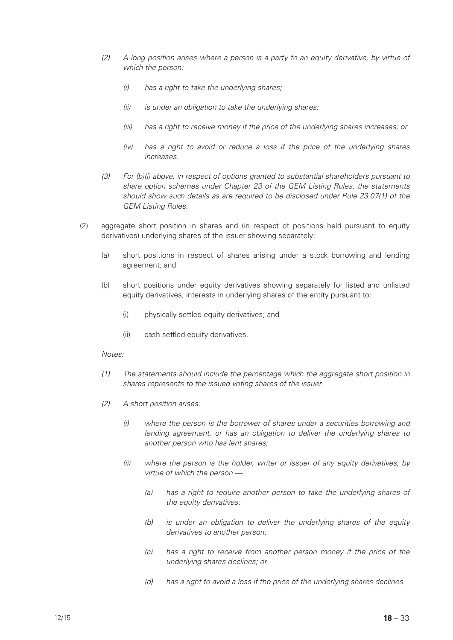- *(2) A long position arises where a person is a party to an equity derivative, by virtue of which the person:*
	- *(i) has a right to take the underlying shares;*
	- *(ii) is under an obligation to take the underlying shares;*
	- *(iii) has a right to receive money if the price of the underlying shares increases; or*
	- *(iv) has a right to avoid or reduce a loss if the price of the underlying shares increases.*
- *(3) For (b)(i) above, in respect of options granted to substantial shareholders pursuant to share option schemes under Chapter 23 of the GEM Listing Rules, the statements should show such details as are required to be disclosed under Rule 23.07(1) of the GEM Listing Rules.*
- (2) aggregate short position in shares and (in respect of positions held pursuant to equity derivatives) underlying shares of the issuer showing separately:
	- (a) short positions in respect of shares arising under a stock borrowing and lending agreement; and
	- (b) short positions under equity derivatives showing separately for listed and unlisted equity derivatives, interests in underlying shares of the entity pursuant to:
		- (i) physically settled equity derivatives; and
		- (ii) cash settled equity derivatives.

- *(1) The statements should include the percentage which the aggregate short position in shares represents to the issued voting shares of the issuer.*
- *(2) A short position arises:*
	- *(i) where the person is the borrower of shares under a securities borrowing and lending agreement, or has an obligation to deliver the underlying shares to another person who has lent shares;*
	- *(ii) where the person is the holder, writer or issuer of any equity derivatives, by virtue of which the person —*
		- *(a) has a right to require another person to take the underlying shares of the equity derivatives;*
		- *(b) is under an obligation to deliver the underlying shares of the equity derivatives to another person;*
		- *(c) has a right to receive from another person money if the price of the underlying shares declines; or*
		- *(d) has a right to avoid a loss if the price of the underlying shares declines.*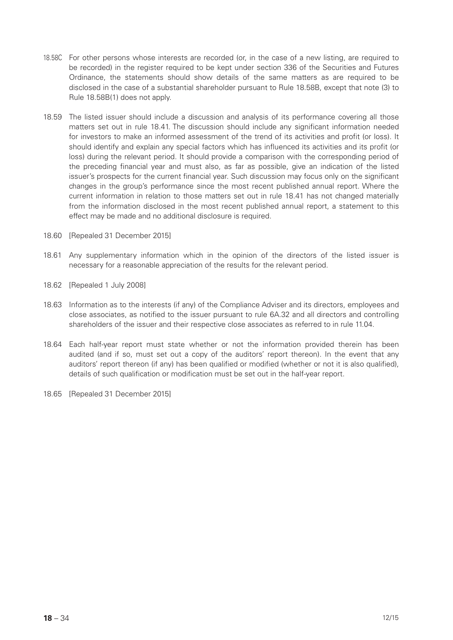- 18.58C For other persons whose interests are recorded (or, in the case of a new listing, are required to be recorded) in the register required to be kept under section 336 of the Securities and Futures Ordinance, the statements should show details of the same matters as are required to be disclosed in the case of a substantial shareholder pursuant to Rule 18.58B, except that note (3) to Rule 18.58B(1) does not apply.
- 18.59 The listed issuer should include a discussion and analysis of its performance covering all those matters set out in rule 18.41. The discussion should include any significant information needed for investors to make an informed assessment of the trend of its activities and profit (or loss). It should identify and explain any special factors which has influenced its activities and its profit (or loss) during the relevant period. It should provide a comparison with the corresponding period of the preceding financial year and must also, as far as possible, give an indication of the listed issuer's prospects for the current financial year. Such discussion may focus only on the significant changes in the group's performance since the most recent published annual report. Where the current information in relation to those matters set out in rule 18.41 has not changed materially from the information disclosed in the most recent published annual report, a statement to this effect may be made and no additional disclosure is required.
- 18.60 [Repealed 31 December 2015]
- 18.61 Any supplementary information which in the opinion of the directors of the listed issuer is necessary for a reasonable appreciation of the results for the relevant period.
- 18.62 [Repealed 1 July 2008]
- 18.63 Information as to the interests (if any) of the Compliance Adviser and its directors, employees and close associates, as notified to the issuer pursuant to rule 6A.32 and all directors and controlling shareholders of the issuer and their respective close associates as referred to in rule 11.04.
- 18.64 Each half-year report must state whether or not the information provided therein has been audited (and if so, must set out a copy of the auditors' report thereon). In the event that any auditors' report thereon (if any) has been qualified or modified (whether or not it is also qualified), details of such qualification or modification must be set out in the half-year report.
- 18.65 [Repealed 31 December 2015]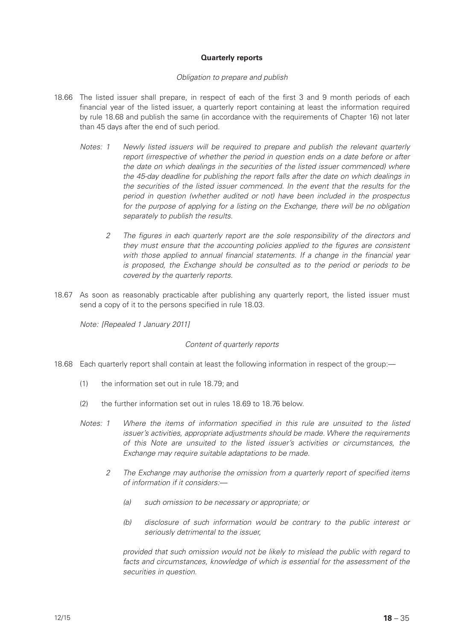# **Quarterly reports**

#### *Obligation to prepare and publish*

- 18.66 The listed issuer shall prepare, in respect of each of the first 3 and 9 month periods of each financial year of the listed issuer, a quarterly report containing at least the information required by rule 18.68 and publish the same (in accordance with the requirements of Chapter 16) not later than 45 days after the end of such period.
	- *Notes: 1 Newly listed issuers will be required to prepare and publish the relevant quarterly report (irrespective of whether the period in question ends on a date before or after the date on which dealings in the securities of the listed issuer commenced) where the 45-day deadline for publishing the report falls after the date on which dealings in the securities of the listed issuer commenced. In the event that the results for the period in question (whether audited or not) have been included in the prospectus for the purpose of applying for a listing on the Exchange, there will be no obligation separately to publish the results.*
		- *2 The figures in each quarterly report are the sole responsibility of the directors and they must ensure that the accounting policies applied to the figures are consistent with those applied to annual financial statements. If a change in the financial year is proposed, the Exchange should be consulted as to the period or periods to be covered by the quarterly reports.*
- 18.67 As soon as reasonably practicable after publishing any quarterly report, the listed issuer must send a copy of it to the persons specified in rule 18.03.

*Note: [Repealed 1 January 2011]*

# *Content of quarterly reports*

- 18.68 Each quarterly report shall contain at least the following information in respect of the group:—
	- (1) the information set out in rule 18.79; and
	- (2) the further information set out in rules 18.69 to 18.76 below.
	- *Notes: 1 Where the items of information specified in this rule are unsuited to the listed issuer's activities, appropriate adjustments should be made. Where the requirements of this Note are unsuited to the listed issuer's activities or circumstances, the Exchange may require suitable adaptations to be made.*
		- *2 The Exchange may authorise the omission from a quarterly report of specified items of information if it considers:—*
			- *(a) such omission to be necessary or appropriate; or*
			- *(b) disclosure of such information would be contrary to the public interest or seriously detrimental to the issuer,*

*provided that such omission would not be likely to mislead the public with regard to facts and circumstances, knowledge of which is essential for the assessment of the securities in question.*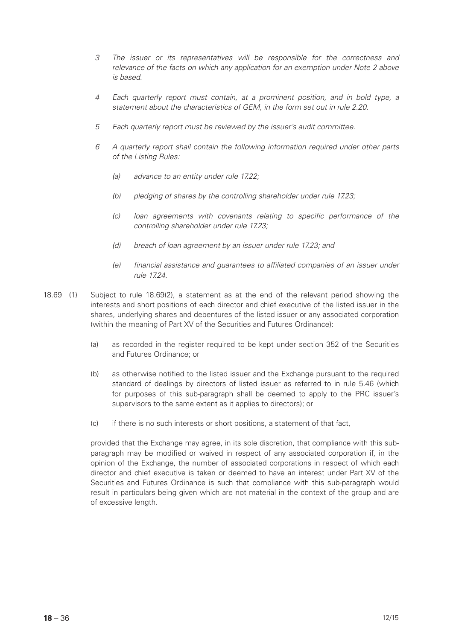- *3 The issuer or its representatives will be responsible for the correctness and relevance of the facts on which any application for an exemption under Note 2 above is based.*
- *4 Each quarterly report must contain, at a prominent position, and in bold type, a statement about the characteristics of GEM, in the form set out in rule 2.20.*
- *5 Each quarterly report must be reviewed by the issuer's audit committee.*
- *6 A quarterly report shall contain the following information required under other parts of the Listing Rules:*
	- *(a) advance to an entity under rule 17.22;*
	- *(b) pledging of shares by the controlling shareholder under rule 17.23;*
	- *(c) loan agreements with covenants relating to specific performance of the controlling shareholder under rule 17.23;*
	- *(d) breach of loan agreement by an issuer under rule 17.23; and*
	- *(e) financial assistance and guarantees to affiliated companies of an issuer under rule 17.24.*
- 18.69 (1) Subject to rule 18.69(2), a statement as at the end of the relevant period showing the interests and short positions of each director and chief executive of the listed issuer in the shares, underlying shares and debentures of the listed issuer or any associated corporation (within the meaning of Part XV of the Securities and Futures Ordinance):
	- (a) as recorded in the register required to be kept under section 352 of the Securities and Futures Ordinance; or
	- (b) as otherwise notified to the listed issuer and the Exchange pursuant to the required standard of dealings by directors of listed issuer as referred to in rule 5.46 (which for purposes of this sub-paragraph shall be deemed to apply to the PRC issuer's supervisors to the same extent as it applies to directors); or
	- (c) if there is no such interests or short positions, a statement of that fact,

provided that the Exchange may agree, in its sole discretion, that compliance with this subparagraph may be modified or waived in respect of any associated corporation if, in the opinion of the Exchange, the number of associated corporations in respect of which each director and chief executive is taken or deemed to have an interest under Part XV of the Securities and Futures Ordinance is such that compliance with this sub-paragraph would result in particulars being given which are not material in the context of the group and are of excessive length.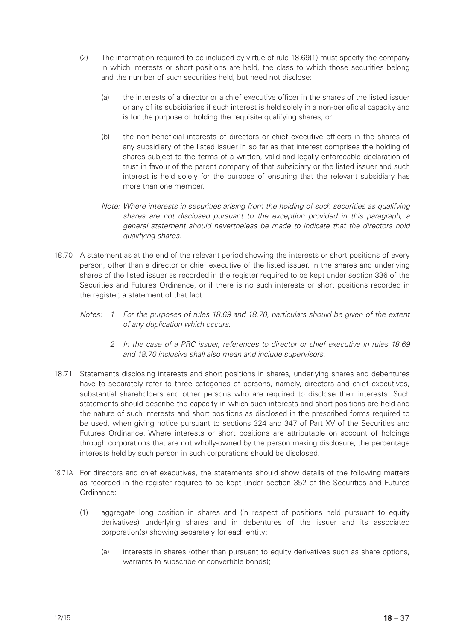- (2) The information required to be included by virtue of rule 18.69(1) must specify the company in which interests or short positions are held, the class to which those securities belong and the number of such securities held, but need not disclose:
	- (a) the interests of a director or a chief executive officer in the shares of the listed issuer or any of its subsidiaries if such interest is held solely in a non-beneficial capacity and is for the purpose of holding the requisite qualifying shares; or
	- (b) the non-beneficial interests of directors or chief executive officers in the shares of any subsidiary of the listed issuer in so far as that interest comprises the holding of shares subject to the terms of a written, valid and legally enforceable declaration of trust in favour of the parent company of that subsidiary or the listed issuer and such interest is held solely for the purpose of ensuring that the relevant subsidiary has more than one member.
	- *Note: Where interests in securities arising from the holding of such securities as qualifying shares are not disclosed pursuant to the exception provided in this paragraph, a general statement should nevertheless be made to indicate that the directors hold qualifying shares.*
- 18.70 A statement as at the end of the relevant period showing the interests or short positions of every person, other than a director or chief executive of the listed issuer, in the shares and underlying shares of the listed issuer as recorded in the register required to be kept under section 336 of the Securities and Futures Ordinance, or if there is no such interests or short positions recorded in the register, a statement of that fact.
	- *Notes: 1 For the purposes of rules 18.69 and 18.70, particulars should be given of the extent of any duplication which occurs.*
		- *2 In the case of a PRC issuer, references to director or chief executive in rules 18.69 and 18.70 inclusive shall also mean and include supervisors.*
- 18.71 Statements disclosing interests and short positions in shares, underlying shares and debentures have to separately refer to three categories of persons, namely, directors and chief executives, substantial shareholders and other persons who are required to disclose their interests. Such statements should describe the capacity in which such interests and short positions are held and the nature of such interests and short positions as disclosed in the prescribed forms required to be used, when giving notice pursuant to sections 324 and 347 of Part XV of the Securities and Futures Ordinance. Where interests or short positions are attributable on account of holdings through corporations that are not wholly-owned by the person making disclosure, the percentage interests held by such person in such corporations should be disclosed.
- 18.71A For directors and chief executives, the statements should show details of the following matters as recorded in the register required to be kept under section 352 of the Securities and Futures Ordinance:
	- (1) aggregate long position in shares and (in respect of positions held pursuant to equity derivatives) underlying shares and in debentures of the issuer and its associated corporation(s) showing separately for each entity:
		- (a) interests in shares (other than pursuant to equity derivatives such as share options, warrants to subscribe or convertible bonds);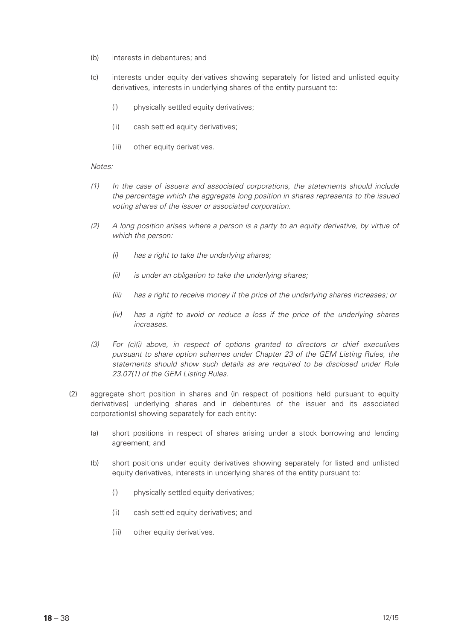- (b) interests in debentures; and
- (c) interests under equity derivatives showing separately for listed and unlisted equity derivatives, interests in underlying shares of the entity pursuant to:
	- (i) physically settled equity derivatives;
	- (ii) cash settled equity derivatives;
	- (iii) other equity derivatives.

- *(1) In the case of issuers and associated corporations, the statements should include the percentage which the aggregate long position in shares represents to the issued voting shares of the issuer or associated corporation.*
- *(2) A long position arises where a person is a party to an equity derivative, by virtue of which the person:*
	- *(i) has a right to take the underlying shares;*
	- *(ii) is under an obligation to take the underlying shares;*
	- *(iii) has a right to receive money if the price of the underlying shares increases; or*
	- *(iv) has a right to avoid or reduce a loss if the price of the underlying shares increases.*
- *(3) For (c)(i) above, in respect of options granted to directors or chief executives pursuant to share option schemes under Chapter 23 of the GEM Listing Rules, the statements should show such details as are required to be disclosed under Rule 23.07(1) of the GEM Listing Rules.*
- (2) aggregate short position in shares and (in respect of positions held pursuant to equity derivatives) underlying shares and in debentures of the issuer and its associated corporation(s) showing separately for each entity:
	- (a) short positions in respect of shares arising under a stock borrowing and lending agreement; and
	- (b) short positions under equity derivatives showing separately for listed and unlisted equity derivatives, interests in underlying shares of the entity pursuant to:
		- (i) physically settled equity derivatives;
		- (ii) cash settled equity derivatives; and
		- (iii) other equity derivatives.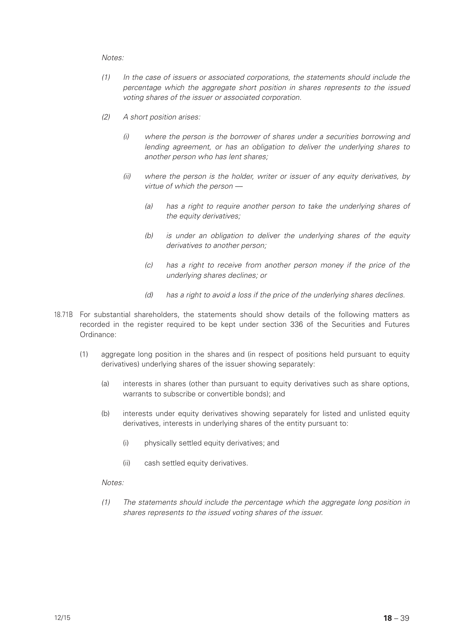- *(1) In the case of issuers or associated corporations, the statements should include the percentage which the aggregate short position in shares represents to the issued voting shares of the issuer or associated corporation.*
- *(2) A short position arises:*
	- *(i) where the person is the borrower of shares under a securities borrowing and lending agreement, or has an obligation to deliver the underlying shares to another person who has lent shares;*
	- *(ii) where the person is the holder, writer or issuer of any equity derivatives, by virtue of which the person —*
		- *(a) has a right to require another person to take the underlying shares of the equity derivatives;*
		- *(b) is under an obligation to deliver the underlying shares of the equity derivatives to another person;*
		- *(c) has a right to receive from another person money if the price of the underlying shares declines; or*
		- *(d) has a right to avoid a loss if the price of the underlying shares declines.*
- 18.71B For substantial shareholders, the statements should show details of the following matters as recorded in the register required to be kept under section 336 of the Securities and Futures Ordinance:
	- (1) aggregate long position in the shares and (in respect of positions held pursuant to equity derivatives) underlying shares of the issuer showing separately:
		- (a) interests in shares (other than pursuant to equity derivatives such as share options, warrants to subscribe or convertible bonds); and
		- (b) interests under equity derivatives showing separately for listed and unlisted equity derivatives, interests in underlying shares of the entity pursuant to:
			- (i) physically settled equity derivatives; and
			- (ii) cash settled equity derivatives.

# *Notes:*

*(1) The statements should include the percentage which the aggregate long position in shares represents to the issued voting shares of the issuer.*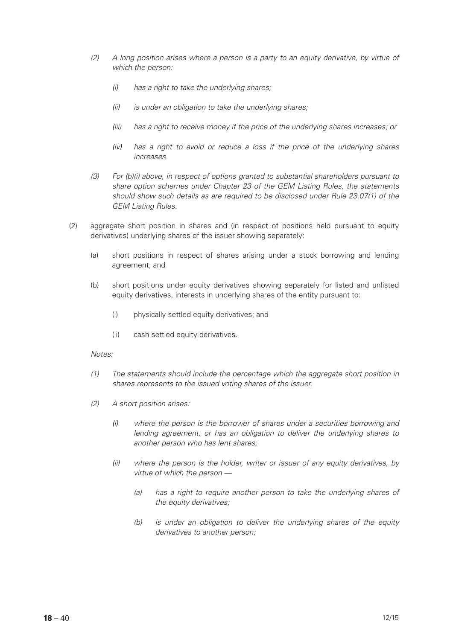- *(2) A long position arises where a person is a party to an equity derivative, by virtue of which the person:*
	- *(i) has a right to take the underlying shares;*
	- *(ii) is under an obligation to take the underlying shares;*
	- *(iii) has a right to receive money if the price of the underlying shares increases; or*
	- *(iv) has a right to avoid or reduce a loss if the price of the underlying shares increases.*
- *(3) For (b)(i) above, in respect of options granted to substantial shareholders pursuant to share option schemes under Chapter 23 of the GEM Listing Rules, the statements should show such details as are required to be disclosed under Rule 23.07(1) of the GEM Listing Rules.*
- (2) aggregate short position in shares and (in respect of positions held pursuant to equity derivatives) underlying shares of the issuer showing separately:
	- (a) short positions in respect of shares arising under a stock borrowing and lending agreement; and
	- (b) short positions under equity derivatives showing separately for listed and unlisted equity derivatives, interests in underlying shares of the entity pursuant to:
		- (i) physically settled equity derivatives; and
		- (ii) cash settled equity derivatives.

- *(1) The statements should include the percentage which the aggregate short position in shares represents to the issued voting shares of the issuer.*
- *(2) A short position arises:*
	- *(i) where the person is the borrower of shares under a securities borrowing and lending agreement, or has an obligation to deliver the underlying shares to another person who has lent shares;*
	- *(ii) where the person is the holder, writer or issuer of any equity derivatives, by virtue of which the person —*
		- *(a) has a right to require another person to take the underlying shares of the equity derivatives;*
		- *(b) is under an obligation to deliver the underlying shares of the equity derivatives to another person;*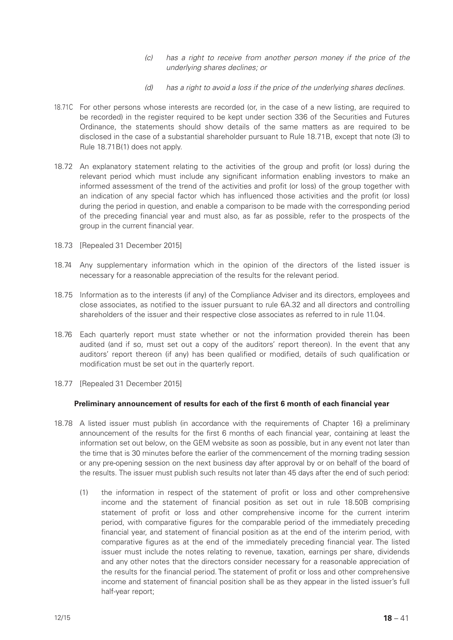- *(c) has a right to receive from another person money if the price of the underlying shares declines; or*
- *(d) has a right to avoid a loss if the price of the underlying shares declines.*
- 18.71C For other persons whose interests are recorded (or, in the case of a new listing, are required to be recorded) in the register required to be kept under section 336 of the Securities and Futures Ordinance, the statements should show details of the same matters as are required to be disclosed in the case of a substantial shareholder pursuant to Rule 18.71B, except that note (3) to Rule 18.71B(1) does not apply.
- 18.72 An explanatory statement relating to the activities of the group and profit (or loss) during the relevant period which must include any significant information enabling investors to make an informed assessment of the trend of the activities and profit (or loss) of the group together with an indication of any special factor which has influenced those activities and the profit (or loss) during the period in question, and enable a comparison to be made with the corresponding period of the preceding financial year and must also, as far as possible, refer to the prospects of the group in the current financial year.
- 18.73 [Repealed 31 December 2015]
- 18.74 Any supplementary information which in the opinion of the directors of the listed issuer is necessary for a reasonable appreciation of the results for the relevant period.
- 18.75 Information as to the interests (if any) of the Compliance Adviser and its directors, employees and close associates, as notified to the issuer pursuant to rule 6A.32 and all directors and controlling shareholders of the issuer and their respective close associates as referred to in rule 11.04.
- 18.76 Each quarterly report must state whether or not the information provided therein has been audited (and if so, must set out a copy of the auditors' report thereon). In the event that any auditors' report thereon (if any) has been qualified or modified, details of such qualification or modification must be set out in the quarterly report.
- 18.77 [Repealed 31 December 2015]

# **Preliminary announcement of results for each of the first 6 month of each financial year**

- 18.78 A listed issuer must publish (in accordance with the requirements of Chapter 16) a preliminary announcement of the results for the first 6 months of each financial year, containing at least the information set out below, on the GEM website as soon as possible, but in any event not later than the time that is 30 minutes before the earlier of the commencement of the morning trading session or any pre-opening session on the next business day after approval by or on behalf of the board of the results. The issuer must publish such results not later than 45 days after the end of such period:
	- (1) the information in respect of the statement of profit or loss and other comprehensive income and the statement of financial position as set out in rule 18.50B comprising statement of profit or loss and other comprehensive income for the current interim period, with comparative figures for the comparable period of the immediately preceding financial year, and statement of financial position as at the end of the interim period, with comparative figures as at the end of the immediately preceding financial year. The listed issuer must include the notes relating to revenue, taxation, earnings per share, dividends and any other notes that the directors consider necessary for a reasonable appreciation of the results for the financial period. The statement of profit or loss and other comprehensive income and statement of financial position shall be as they appear in the listed issuer's full half-year report;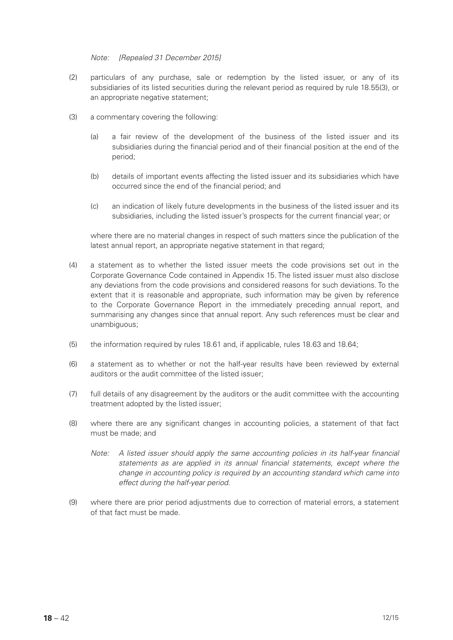#### *Note: [Repealed 31 December 2015]*

- (2) particulars of any purchase, sale or redemption by the listed issuer, or any of its subsidiaries of its listed securities during the relevant period as required by rule 18.55(3), or an appropriate negative statement:
- (3) a commentary covering the following:
	- (a) a fair review of the development of the business of the listed issuer and its subsidiaries during the financial period and of their financial position at the end of the period;
	- (b) details of important events affecting the listed issuer and its subsidiaries which have occurred since the end of the financial period; and
	- (c) an indication of likely future developments in the business of the listed issuer and its subsidiaries, including the listed issuer's prospects for the current financial year; or

where there are no material changes in respect of such matters since the publication of the latest annual report, an appropriate negative statement in that regard;

- (4) a statement as to whether the listed issuer meets the code provisions set out in the Corporate Governance Code contained in Appendix 15. The listed issuer must also disclose any deviations from the code provisions and considered reasons for such deviations. To the extent that it is reasonable and appropriate, such information may be given by reference to the Corporate Governance Report in the immediately preceding annual report, and summarising any changes since that annual report. Any such references must be clear and unambiguous;
- (5) the information required by rules 18.61 and, if applicable, rules 18.63 and 18.64;
- (6) a statement as to whether or not the half-year results have been reviewed by external auditors or the audit committee of the listed issuer;
- (7) full details of any disagreement by the auditors or the audit committee with the accounting treatment adopted by the listed issuer;
- (8) where there are any significant changes in accounting policies, a statement of that fact must be made; and
	- *Note: A listed issuer should apply the same accounting policies in its half-year financial statements as are applied in its annual financial statements, except where the change in accounting policy is required by an accounting standard which came into effect during the half-year period.*
- (9) where there are prior period adjustments due to correction of material errors, a statement of that fact must be made.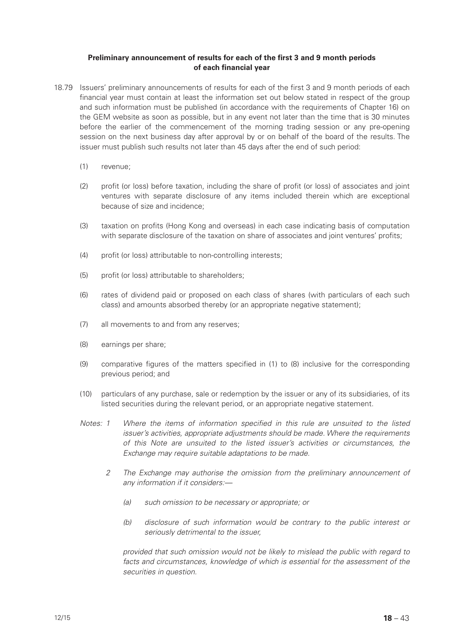# **Preliminary announcement of results for each of the first 3 and 9 month periods of each financial year**

- 18.79 Issuers' preliminary announcements of results for each of the first 3 and 9 month periods of each financial year must contain at least the information set out below stated in respect of the group and such information must be published (in accordance with the requirements of Chapter 16) on the GEM website as soon as possible, but in any event not later than the time that is 30 minutes before the earlier of the commencement of the morning trading session or any pre-opening session on the next business day after approval by or on behalf of the board of the results. The issuer must publish such results not later than 45 days after the end of such period:
	- (1) revenue;
	- (2) profit (or loss) before taxation, including the share of profit (or loss) of associates and joint ventures with separate disclosure of any items included therein which are exceptional because of size and incidence;
	- (3) taxation on profits (Hong Kong and overseas) in each case indicating basis of computation with separate disclosure of the taxation on share of associates and joint ventures' profits;
	- (4) profit (or loss) attributable to non-controlling interests;
	- (5) profit (or loss) attributable to shareholders;
	- (6) rates of dividend paid or proposed on each class of shares (with particulars of each such class) and amounts absorbed thereby (or an appropriate negative statement);
	- (7) all movements to and from any reserves;
	- (8) earnings per share;
	- (9) comparative figures of the matters specified in (1) to (8) inclusive for the corresponding previous period; and
	- (10) particulars of any purchase, sale or redemption by the issuer or any of its subsidiaries, of its listed securities during the relevant period, or an appropriate negative statement.
	- *Notes: 1 Where the items of information specified in this rule are unsuited to the listed issuer's activities, appropriate adjustments should be made. Where the requirements of this Note are unsuited to the listed issuer's activities or circumstances, the Exchange may require suitable adaptations to be made.*
		- *2 The Exchange may authorise the omission from the preliminary announcement of any information if it considers:—*
			- *(a) such omission to be necessary or appropriate; or*
			- *(b) disclosure of such information would be contrary to the public interest or seriously detrimental to the issuer,*

*provided that such omission would not be likely to mislead the public with regard to facts and circumstances, knowledge of which is essential for the assessment of the securities in question.*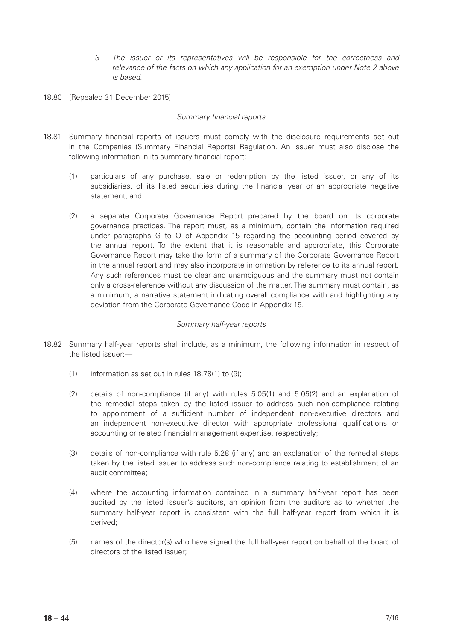- *3 The issuer or its representatives will be responsible for the correctness and relevance of the facts on which any application for an exemption under Note 2 above is based.*
- 18.80 [Repealed 31 December 2015]

#### *Summary financial reports*

- 18.81 Summary financial reports of issuers must comply with the disclosure requirements set out in the Companies (Summary Financial Reports) Regulation. An issuer must also disclose the following information in its summary financial report:
	- (1) particulars of any purchase, sale or redemption by the listed issuer, or any of its subsidiaries, of its listed securities during the financial year or an appropriate negative statement; and
	- (2) a separate Corporate Governance Report prepared by the board on its corporate governance practices. The report must, as a minimum, contain the information required under paragraphs G to  $Q$  of Appendix 15 regarding the accounting period covered by the annual report. To the extent that it is reasonable and appropriate, this Corporate Governance Report may take the form of a summary of the Corporate Governance Report in the annual report and may also incorporate information by reference to its annual report. Any such references must be clear and unambiguous and the summary must not contain only a cross-reference without any discussion of the matter. The summary must contain, as a minimum, a narrative statement indicating overall compliance with and highlighting any deviation from the Corporate Governance Code in Appendix 15.

# *Summary half-year reports*

- 18.82 Summary half-year reports shall include, as a minimum, the following information in respect of the listed issuer:—
	- (1) information as set out in rules  $18.78(1)$  to  $(9)$ ;
	- (2) details of non-compliance (if any) with rules 5.05(1) and 5.05(2) and an explanation of the remedial steps taken by the listed issuer to address such non-compliance relating to appointment of a sufficient number of independent non-executive directors and an independent non-executive director with appropriate professional qualifications or accounting or related financial management expertise, respectively;
	- (3) details of non-compliance with rule 5.28 (if any) and an explanation of the remedial steps taken by the listed issuer to address such non-compliance relating to establishment of an audit committee;
	- (4) where the accounting information contained in a summary half-year report has been audited by the listed issuer's auditors, an opinion from the auditors as to whether the summary half-year report is consistent with the full half-year report from which it is derived;
	- (5) names of the director(s) who have signed the full half-year report on behalf of the board of directors of the listed issuer;